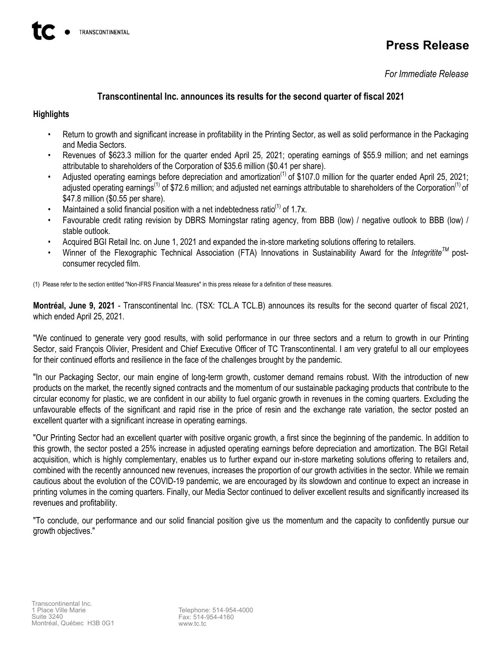# **Press Release**

*For Immediate Release*

# **Transcontinental Inc. announces its results for the second quarter of fiscal 2021**

# **Highlights**

- Return to growth and significant increase in profitability in the Printing Sector, as well as solid performance in the Packaging and Media Sectors.
- Revenues of \$623.3 million for the quarter ended April 25, 2021; operating earnings of \$55.9 million; and net earnings attributable to shareholders of the Corporation of \$35.6 million (\$0.41 per share).
- Adjusted operating earnings before depreciation and amortization<sup>(1)</sup> of \$107.0 million for the quarter ended April 25, 2021; adjusted operating earnings<sup>(1)</sup> of \$72.6 million; and adjusted net earnings attributable to shareholders of the Corporation<sup>(1)</sup> of \$47.8 million (\$0.55 per share).
- Maintained a solid financial position with a net indebtedness ratio<sup>(1)</sup> of 1.7x.
- Favourable credit rating revision by DBRS Morningstar rating agency, from BBB (low) / negative outlook to BBB (low) / stable outlook.
- Acquired BGI Retail Inc. on June 1, 2021 and expanded the in-store marketing solutions offering to retailers.
- Winner of the Flexographic Technical Association (FTA) Innovations in Sustainability Award for the *IntegrititeTM* postconsumer recycled film.

(1) Please refer to the section entitled "Non-IFRS Financial Measures" in this press release for a definition of these measures.

**Montréal, June 9, 2021** - Transcontinental Inc. (TSX: TCL.A TCL.B) announces its results for the second quarter of fiscal 2021, which ended April 25, 2021.

"We continued to generate very good results, with solid performance in our three sectors and a return to growth in our Printing Sector, said François Olivier, President and Chief Executive Officer of TC Transcontinental. I am very grateful to all our employees for their continued efforts and resilience in the face of the challenges brought by the pandemic.

"In our Packaging Sector, our main engine of long-term growth, customer demand remains robust. With the introduction of new products on the market, the recently signed contracts and the momentum of our sustainable packaging products that contribute to the circular economy for plastic, we are confident in our ability to fuel organic growth in revenues in the coming quarters. Excluding the unfavourable effects of the significant and rapid rise in the price of resin and the exchange rate variation, the sector posted an excellent quarter with a significant increase in operating earnings.

"Our Printing Sector had an excellent quarter with positive organic growth, a first since the beginning of the pandemic. In addition to this growth, the sector posted a 25% increase in adjusted operating earnings before depreciation and amortization. The BGI Retail acquisition, which is highly complementary, enables us to further expand our in-store marketing solutions offering to retailers and, combined with the recently announced new revenues, increases the proportion of our growth activities in the sector. While we remain cautious about the evolution of the COVID-19 pandemic, we are encouraged by its slowdown and continue to expect an increase in printing volumes in the coming quarters. Finally, our Media Sector continued to deliver excellent results and significantly increased its revenues and profitability.

"To conclude, our performance and our solid financial position give us the momentum and the capacity to confidently pursue our growth objectives."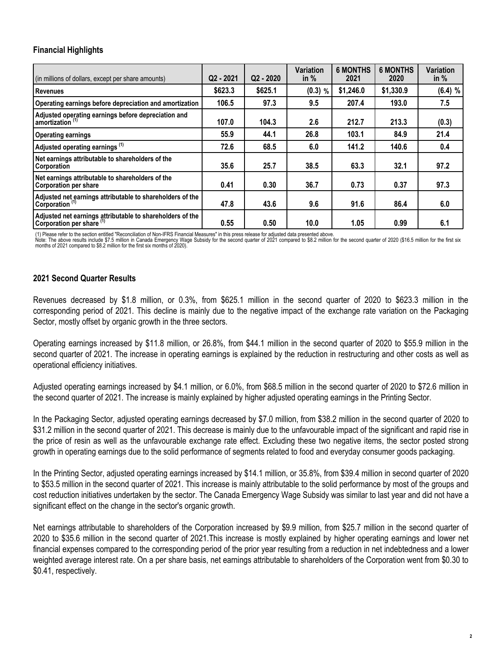# **Financial Highlights**

| (in millions of dollars, except per share amounts)                                     | $Q2 - 2021$ | $Q2 - 2020$ | <b>Variation</b><br>in $%$ | <b>6 MONTHS</b><br>2021 | <b>6 MONTHS</b><br>2020 | <b>Variation</b><br>in $%$ |
|----------------------------------------------------------------------------------------|-------------|-------------|----------------------------|-------------------------|-------------------------|----------------------------|
| l Revenues                                                                             | \$623.3     | \$625.1     | $(0.3)$ %                  | \$1,246.0               | \$1,330.9               | $(6.4)$ %                  |
| Operating earnings before depreciation and amortization                                | 106.5       | 97.3        | 9.5                        | 207.4                   | 193.0                   | 7.5                        |
| Adjusted operating earnings before depreciation and<br>amortization <sup>(1)</sup>     | 107.0       | 104.3       | 2.6                        | 212.7                   | 213.3                   | (0.3)                      |
| Operating earnings                                                                     | 55.9        | 44.1        | 26.8                       | 103.1                   | 84.9                    | 21.4                       |
| Adjusted operating earnings (1)                                                        | 72.6        | 68.5        | 6.0                        | 141.2                   | 140.6                   | 0.4                        |
| Net earnings attributable to shareholders of the<br>Corporation                        | 35.6        | 25.7        | 38.5                       | 63.3                    | 32.1                    | 97.2                       |
| Net earnings attributable to shareholders of the<br>Corporation per share              | 0.41        | 0.30        | 36.7                       | 0.73                    | 0.37                    | 97.3                       |
| Adjusted net earnings attributable to shareholders of the<br>Corporation (1)           | 47.8        | 43.6        | 9.6                        | 91.6                    | 86.4                    | 6.0                        |
| Adjusted net earnings attributable to shareholders of the<br>Corporation per share (1) | 0.55        | 0.50        | 10.0                       | 1.05                    | 0.99                    | 6.1                        |

(1) Please refer to the section entitled "Reconciliation of Non-IFRS Financial Measures" in this press release for adjusted data presented above.

Note: The above results include \$7.5 million in Canada Emergency Wage Subsidy for the second quarter of 2021 compared to \$8.2 million for the second quarter of 2020 (\$16.5 million for the first six months of 2021 compared to \$8.2 million for the first six months of 2020).

## **2021 Second Quarter Results**

Revenues decreased by \$1.8 million, or 0.3%, from \$625.1 million in the second quarter of 2020 to \$623.3 million in the corresponding period of 2021. This decline is mainly due to the negative impact of the exchange rate variation on the Packaging Sector, mostly offset by organic growth in the three sectors.

Operating earnings increased by \$11.8 million, or 26.8%, from \$44.1 million in the second quarter of 2020 to \$55.9 million in the second quarter of 2021. The increase in operating earnings is explained by the reduction in restructuring and other costs as well as operational efficiency initiatives.

Adjusted operating earnings increased by \$4.1 million, or 6.0%, from \$68.5 million in the second quarter of 2020 to \$72.6 million in the second quarter of 2021. The increase is mainly explained by higher adjusted operating earnings in the Printing Sector.

In the Packaging Sector, adjusted operating earnings decreased by \$7.0 million, from \$38.2 million in the second quarter of 2020 to \$31.2 million in the second quarter of 2021. This decrease is mainly due to the unfavourable impact of the significant and rapid rise in the price of resin as well as the unfavourable exchange rate effect. Excluding these two negative items, the sector posted strong growth in operating earnings due to the solid performance of segments related to food and everyday consumer goods packaging.

In the Printing Sector, adjusted operating earnings increased by \$14.1 million, or 35.8%, from \$39.4 million in second quarter of 2020 to \$53.5 million in the second quarter of 2021. This increase is mainly attributable to the solid performance by most of the groups and cost reduction initiatives undertaken by the sector. The Canada Emergency Wage Subsidy was similar to last year and did not have a significant effect on the change in the sector's organic growth.

Net earnings attributable to shareholders of the Corporation increased by \$9.9 million, from \$25.7 million in the second quarter of 2020 to \$35.6 million in the second quarter of 2021.This increase is mostly explained by higher operating earnings and lower net financial expenses compared to the corresponding period of the prior year resulting from a reduction in net indebtedness and a lower weighted average interest rate. On a per share basis, net earnings attributable to shareholders of the Corporation went from \$0.30 to \$0.41, respectively.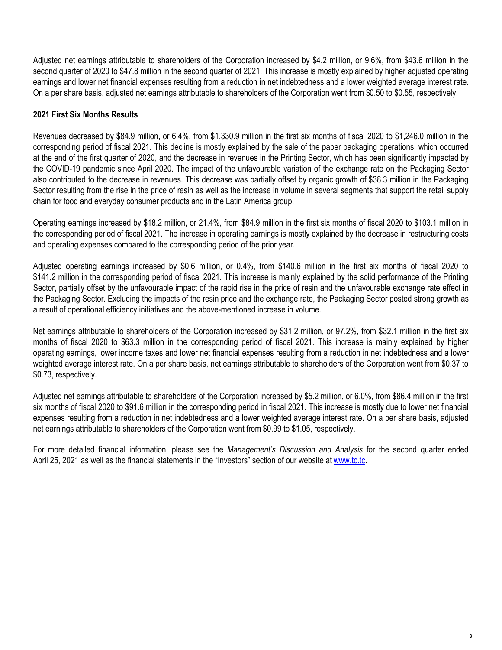Adjusted net earnings attributable to shareholders of the Corporation increased by \$4.2 million, or 9.6%, from \$43.6 million in the second quarter of 2020 to \$47.8 million in the second quarter of 2021. This increase is mostly explained by higher adjusted operating earnings and lower net financial expenses resulting from a reduction in net indebtedness and a lower weighted average interest rate. On a per share basis, adjusted net earnings attributable to shareholders of the Corporation went from \$0.50 to \$0.55, respectively.

# **2021 First Six Months Results**

Revenues decreased by \$84.9 million, or 6.4%, from \$1,330.9 million in the first six months of fiscal 2020 to \$1,246.0 million in the corresponding period of fiscal 2021. This decline is mostly explained by the sale of the paper packaging operations, which occurred at the end of the first quarter of 2020, and the decrease in revenues in the Printing Sector, which has been significantly impacted by the COVID-19 pandemic since April 2020. The impact of the unfavourable variation of the exchange rate on the Packaging Sector also contributed to the decrease in revenues. This decrease was partially offset by organic growth of \$38.3 million in the Packaging Sector resulting from the rise in the price of resin as well as the increase in volume in several segments that support the retail supply chain for food and everyday consumer products and in the Latin America group.

Operating earnings increased by \$18.2 million, or 21.4%, from \$84.9 million in the first six months of fiscal 2020 to \$103.1 million in the corresponding period of fiscal 2021. The increase in operating earnings is mostly explained by the decrease in restructuring costs and operating expenses compared to the corresponding period of the prior year.

Adjusted operating earnings increased by \$0.6 million, or 0.4%, from \$140.6 million in the first six months of fiscal 2020 to \$141.2 million in the corresponding period of fiscal 2021. This increase is mainly explained by the solid performance of the Printing Sector, partially offset by the unfavourable impact of the rapid rise in the price of resin and the unfavourable exchange rate effect in the Packaging Sector. Excluding the impacts of the resin price and the exchange rate, the Packaging Sector posted strong growth as a result of operational efficiency initiatives and the above-mentioned increase in volume.

Net earnings attributable to shareholders of the Corporation increased by \$31.2 million, or 97.2%, from \$32.1 million in the first six months of fiscal 2020 to \$63.3 million in the corresponding period of fiscal 2021. This increase is mainly explained by higher operating earnings, lower income taxes and lower net financial expenses resulting from a reduction in net indebtedness and a lower weighted average interest rate. On a per share basis, net earnings attributable to shareholders of the Corporation went from \$0.37 to \$0.73, respectively.

Adjusted net earnings attributable to shareholders of the Corporation increased by \$5.2 million, or 6.0%, from \$86.4 million in the first six months of fiscal 2020 to \$91.6 million in the corresponding period in fiscal 2021. This increase is mostly due to lower net financial expenses resulting from a reduction in net indebtedness and a lower weighted average interest rate. On a per share basis, adjusted net earnings attributable to shareholders of the Corporation went from \$0.99 to \$1.05, respectively.

For more detailed financial information, please see the *Management's Discussion and Analysis* for the second quarter ended April 25, 2021 as well as the financial statements in the "Investors" section of our website at [www.tc.tc.](http://www.tc.tc)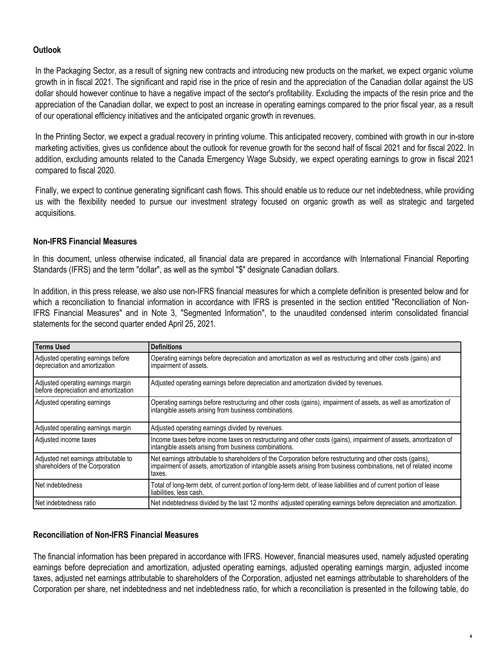# **Outlook**

In the Packaging Sector, as a result of signing new contracts and introducing new products on the market, we expect organic volume growth in in fiscal 2021. The significant and rapid rise in the price of resin and the appreciation of the Canadian dollar against the US dollar should however continue to have a negative impact of the sector's profitability. Excluding the impacts of the resin price and the appreciation of the Canadian dollar, we expect to post an increase in operating earnings compared to the prior fiscal year, as a result of our operational efficiency initiatives and the anticipated organic growth in revenues.

In the Printing Sector, we expect a gradual recovery in printing volume. This anticipated recovery, combined with growth in our in-store marketing activities, gives us confidence about the outlook for revenue growth for the second half of fiscal 2021 and for fiscal 2022. In addition, excluding amounts related to the Canada Emergency Wage Subsidy, we expect operating earnings to grow in fiscal 2021 compared to fiscal 2020.

Finally, we expect to continue generating significant cash flows. This should enable us to reduce our net indebtedness, while providing us with the flexibility needed to pursue our investment strategy focused on organic growth as well as strategic and targeted acquisitions.

# **Non-IFRS Financial Measures**

In this document, unless otherwise indicated, all financial data are prepared in accordance with International Financial Reporting Standards (IFRS) and the term "dollar", as well as the symbol "\$" designate Canadian dollars.

In addition, in this press release, we also use non-IFRS financial measures for which a complete definition is presented below and for which a reconciliation to financial information in accordance with IFRS is presented in the section entitled "Reconciliation of Non-IFRS Financial Measures" and in Note 3, "Segmented Information", to the unaudited condensed interim consolidated financial statements for the second quarter ended April 25, 2021.

| Terms Used                                                                 | <b>Definitions</b>                                                                                                                                                                                                                        |
|----------------------------------------------------------------------------|-------------------------------------------------------------------------------------------------------------------------------------------------------------------------------------------------------------------------------------------|
| Adjusted operating earnings before<br>depreciation and amortization        | Operating earnings before depreciation and amortization as well as restructuring and other costs (gains) and<br>impairment of assets.                                                                                                     |
| Adjusted operating earnings margin<br>before depreciation and amortization | Adjusted operating earnings before depreciation and amortization divided by revenues.                                                                                                                                                     |
| Adjusted operating earnings                                                | Operating earnings before restructuring and other costs (gains), impairment of assets, as well as amortization of<br>intangible assets arising from business combinations.                                                                |
| Adjusted operating earnings margin                                         | Adjusted operating earnings divided by revenues.                                                                                                                                                                                          |
| Adjusted income taxes                                                      | Income taxes before income taxes on restructuring and other costs (gains), impairment of assets, amortization of<br>intangible assets arising from business combinations.                                                                 |
| Adjusted net earnings attributable to<br>shareholders of the Corporation   | Net earnings attributable to shareholders of the Corporation before restructuring and other costs (gains),<br>impairment of assets, amortization of intangible assets arising from business combinations, net of related income<br>taxes. |
| Net indebtedness                                                           | Total of long-term debt, of current portion of long-term debt, of lease liabilities and of current portion of lease<br>liabilities, less cash.                                                                                            |
| Net indebtedness ratio                                                     | Net indebtedness divided by the last 12 months' adjusted operating earnings before depreciation and amortization.                                                                                                                         |

# **Reconciliation of Non-IFRS Financial Measures**

The financial information has been prepared in accordance with IFRS. However, financial measures used, namely adjusted operating earnings before depreciation and amortization, adjusted operating earnings, adjusted operating earnings margin, adjusted income taxes, adjusted net earnings attributable to shareholders of the Corporation, adjusted net earnings attributable to shareholders of the Corporation per share, net indebtedness and net indebtedness ratio, for which a reconciliation is presented in the following table, do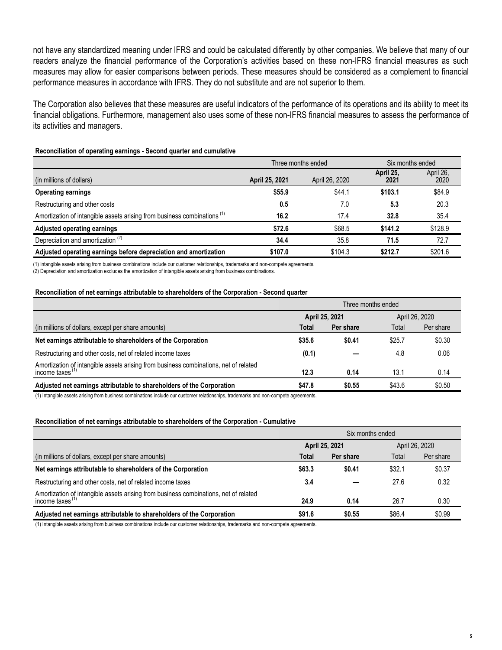not have any standardized meaning under IFRS and could be calculated differently by other companies. We believe that many of our readers analyze the financial performance of the Corporation's activities based on these non-IFRS financial measures as such measures may allow for easier comparisons between periods. These measures should be considered as a complement to financial performance measures in accordance with IFRS. They do not substitute and are not superior to them.

The Corporation also believes that these measures are useful indicators of the performance of its operations and its ability to meet its financial obligations. Furthermore, management also uses some of these non-IFRS financial measures to assess the performance of its activities and managers.

#### **Reconciliation of operating earnings - Second quarter and cumulative**

|                                                                                     |                | Three months ended | Six months ended  |                   |
|-------------------------------------------------------------------------------------|----------------|--------------------|-------------------|-------------------|
| (in millions of dollars)                                                            | April 25, 2021 | April 26, 2020     | April 25,<br>2021 | April 26,<br>2020 |
| <b>Operating earnings</b>                                                           | \$55.9         | \$44.1             | \$103.1           | \$84.9            |
| Restructuring and other costs                                                       | 0.5            | 7.0                | 5.3               | 20.3              |
| Amortization of intangible assets arising from business combinations <sup>(1)</sup> | 16.2           | 17.4               | 32.8              | 35.4              |
| <b>Adjusted operating earnings</b>                                                  | \$72.6         | \$68.5             | \$141.2           | \$128.9           |
| Depreciation and amortization <sup>(2)</sup>                                        | 34.4           | 35.8               | 71.5              | 72.7              |
| Adjusted operating earnings before depreciation and amortization                    | \$107.0        | \$104.3            | \$212.7           | \$201.6           |

(1) Intangible assets arising from business combinations include our customer relationships, trademarks and non-compete agreements. (2) Depreciation and amortization excludes the amortization of intangible assets arising from business combinations.

#### **Reconciliation of net earnings attributable to shareholders of the Corporation - Second quarter**

|                                                                                                            | Three months ended |                |                |           |
|------------------------------------------------------------------------------------------------------------|--------------------|----------------|----------------|-----------|
|                                                                                                            |                    | April 25, 2021 | April 26, 2020 |           |
| (in millions of dollars, except per share amounts)                                                         | Total              | Per share      | Total          | Per share |
| Net earnings attributable to shareholders of the Corporation                                               | \$35.6             | \$0.41         | \$25.7         | \$0.30    |
| Restructuring and other costs, net of related income taxes                                                 | (0.1)              |                | 4.8            | 0.06      |
| Amortization of intangible assets arising from business combinations, net of related<br>income taxes $(1)$ | 12.3               | 0.14           | 13.1           | 0.14      |
| Adjusted net earnings attributable to shareholders of the Corporation                                      | \$47.8             | \$0.55         | \$43.6         | \$0.50    |

(1) Intangible assets arising from business combinations include our customer relationships, trademarks and non-compete agreements.

#### **Reconciliation of net earnings attributable to shareholders of the Corporation - Cumulative**

|                                                                                                            | Six months ended |           |                |           |
|------------------------------------------------------------------------------------------------------------|------------------|-----------|----------------|-----------|
|                                                                                                            | April 25, 2021   |           | April 26, 2020 |           |
| (in millions of dollars, except per share amounts)                                                         | Total            | Per share | Total          | Per share |
| Net earnings attributable to shareholders of the Corporation                                               | \$63.3           | \$0.41    | \$32.1         | \$0.37    |
| Restructuring and other costs, net of related income taxes                                                 | 3.4              |           | 27.6           | 0.32      |
| Amortization of intangible assets arising from business combinations, net of related<br>income taxes $(1)$ | 24.9             | 0.14      | 26.7           | 0.30      |
| Adjusted net earnings attributable to shareholders of the Corporation                                      | \$91.6           | \$0.55    | \$86.4         | \$0.99    |

(1) Intangible assets arising from business combinations include our customer relationships, trademarks and non-compete agreements.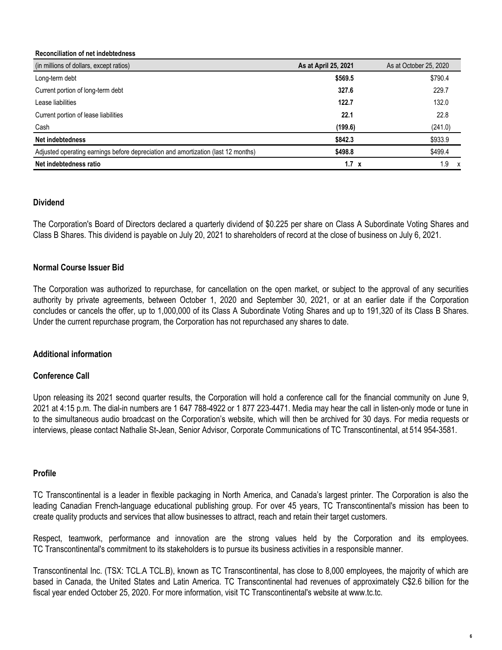#### **Reconciliation of net indebtedness**

| (in millions of dollars, except ratios)                                           | As at April 25, 2021 | As at October 25, 2020 |
|-----------------------------------------------------------------------------------|----------------------|------------------------|
| Long-term debt                                                                    | \$569.5              | \$790.4                |
| Current portion of long-term debt                                                 | 327.6                | 229.7                  |
| Lease liabilities                                                                 | 122.7                | 132.0                  |
| Current portion of lease liabilities                                              | 22.1                 | 22.8                   |
| Cash                                                                              | (199.6)              | (241.0)                |
| Net indebtedness                                                                  | \$842.3              | \$933.9                |
| Adjusted operating earnings before depreciation and amortization (last 12 months) | \$498.8              | \$499.4                |
| Net indebtedness ratio                                                            | $1.7 \times$         | 1.9                    |

## **Dividend**

The Corporation's Board of Directors declared a quarterly dividend of \$0.225 per share on Class A Subordinate Voting Shares and Class B Shares. This dividend is payable on July 20, 2021 to shareholders of record at the close of business on July 6, 2021.

## **Normal Course Issuer Bid**

The Corporation was authorized to repurchase, for cancellation on the open market, or subject to the approval of any securities authority by private agreements, between October 1, 2020 and September 30, 2021, or at an earlier date if the Corporation concludes or cancels the offer, up to 1,000,000 of its Class A Subordinate Voting Shares and up to 191,320 of its Class B Shares. Under the current repurchase program, the Corporation has not repurchased any shares to date.

## **Additional information**

## **Conference Call**

Upon releasing its 2021 second quarter results, the Corporation will hold a conference call for the financial community on June 9, 2021 at 4:15 p.m. The dial-in numbers are 1 647 788-4922 or 1 877 223-4471. Media may hear the call in listen-only mode or tune in to the simultaneous audio broadcast on the Corporation's website, which will then be archived for 30 days. For media requests or interviews, please contact Nathalie St-Jean, Senior Advisor, Corporate Communications of TC Transcontinental, at 514 954-3581.

#### **Profile**

TC Transcontinental is a leader in flexible packaging in North America, and Canada's largest printer. The Corporation is also the leading Canadian French-language educational publishing group. For over 45 years, TC Transcontinental's mission has been to create quality products and services that allow businesses to attract, reach and retain their target customers.

Respect, teamwork, performance and innovation are the strong values held by the Corporation and its employees. TC Transcontinental's commitment to its stakeholders is to pursue its business activities in a responsible manner.

Transcontinental Inc. (TSX: TCL.A TCL.B), known as TC Transcontinental, has close to 8,000 employees, the majority of which are based in Canada, the United States and Latin America. TC Transcontinental had revenues of approximately C\$2.6 billion for the fiscal year ended October 25, 2020. For more information, visit TC Transcontinental's website at www.tc.tc.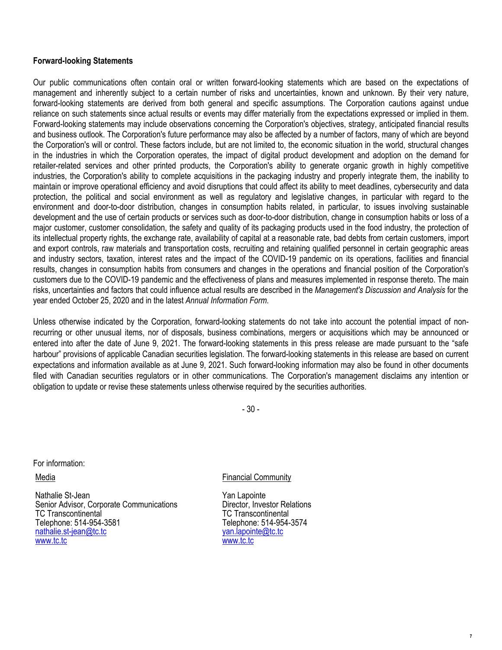## **Forward-looking Statements**

Our public communications often contain oral or written forward-looking statements which are based on the expectations of management and inherently subject to a certain number of risks and uncertainties, known and unknown. By their very nature, forward-looking statements are derived from both general and specific assumptions. The Corporation cautions against undue reliance on such statements since actual results or events may differ materially from the expectations expressed or implied in them. Forward-looking statements may include observations concerning the Corporation's objectives, strategy, anticipated financial results and business outlook. The Corporation's future performance may also be affected by a number of factors, many of which are beyond the Corporation's will or control. These factors include, but are not limited to, the economic situation in the world, structural changes in the industries in which the Corporation operates, the impact of digital product development and adoption on the demand for retailer-related services and other printed products, the Corporation's ability to generate organic growth in highly competitive industries, the Corporation's ability to complete acquisitions in the packaging industry and properly integrate them, the inability to maintain or improve operational efficiency and avoid disruptions that could affect its ability to meet deadlines, cybersecurity and data protection, the political and social environment as well as regulatory and legislative changes, in particular with regard to the environment and door-to-door distribution, changes in consumption habits related, in particular, to issues involving sustainable development and the use of certain products or services such as door-to-door distribution, change in consumption habits or loss of a major customer, customer consolidation, the safety and quality of its packaging products used in the food industry, the protection of its intellectual property rights, the exchange rate, availability of capital at a reasonable rate, bad debts from certain customers, import and export controls, raw materials and transportation costs, recruiting and retaining qualified personnel in certain geographic areas and industry sectors, taxation, interest rates and the impact of the COVID-19 pandemic on its operations, facilities and financial results, changes in consumption habits from consumers and changes in the operations and financial position of the Corporation's customers due to the COVID-19 pandemic and the effectiveness of plans and measures implemented in response thereto. The main risks, uncertainties and factors that could influence actual results are described in the *Management's Discussion and Analysis* for the year ended October 25, 2020 and in the latest *Annual Information Form*.

Unless otherwise indicated by the Corporation, forward-looking statements do not take into account the potential impact of nonrecurring or other unusual items, nor of disposals, business combinations, mergers or acquisitions which may be announced or entered into after the date of June 9, 2021. The forward-looking statements in this press release are made pursuant to the "safe harbour" provisions of applicable Canadian securities legislation. The forward-looking statements in this release are based on current expectations and information available as at June 9, 2021. Such forward-looking information may also be found in other documents filed with Canadian securities regulators or in other communications. The Corporation's management disclaims any intention or obligation to update or revise these statements unless otherwise required by the securities authorities.

- 30 -

For information:

Media

Nathalie St-Jean Senior Advisor, Corporate Communications TC Transcontinental Telephone: 514-954-3581 nathalie.st-jean@tc.tc www.tc.tc

## Financial Community

Yan Lapointe Director, Investor Relations TC Transcontinental Telephone: 514-954-3574 yan.lapointe@tc.tc www.tc.tc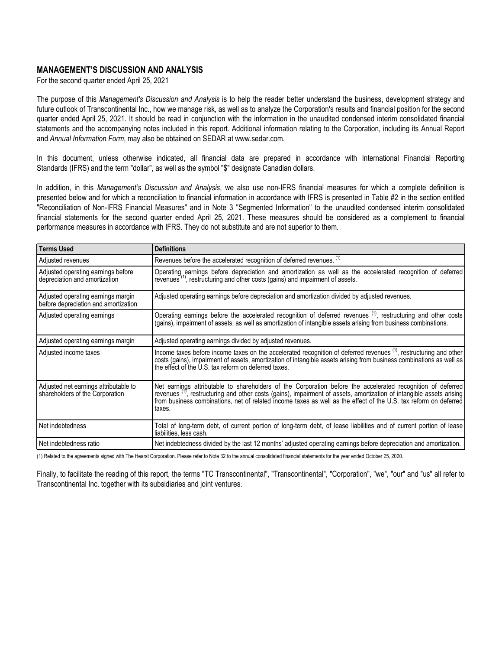### **MANAGEMENT'S DISCUSSION AND ANALYSIS**

For the second quarter ended April 25, 2021

The purpose of this *Management's Discussion and Analysis* is to help the reader better understand the business, development strategy and future outlook of Transcontinental Inc., how we manage risk, as well as to analyze the Corporation's results and financial position for the second quarter ended April 25, 2021. It should be read in conjunction with the information in the unaudited condensed interim consolidated financial statements and the accompanying notes included in this report. Additional information relating to the Corporation, including its Annual Report and *Annual Information Form*, may also be obtained on SEDAR at www.sedar.com.

In this document, unless otherwise indicated, all financial data are prepared in accordance with International Financial Reporting Standards (IFRS) and the term "dollar", as well as the symbol "\$" designate Canadian dollars.

In addition, in this *Management's Discussion and Analysis*, we also use non-IFRS financial measures for which a complete definition is presented below and for which a reconciliation to financial information in accordance with IFRS is presented in Table #2 in the section entitled "Reconciliation of Non-IFRS Financial Measures" and in Note 3 "Segmented Information" to the unaudited condensed interim consolidated financial statements for the second quarter ended April 25, 2021. These measures should be considered as a complement to financial performance measures in accordance with IFRS. They do not substitute and are not superior to them.

| Terms Used                                                                 | <b>Definitions</b>                                                                                                                                                                                                                                                                                                                                                            |
|----------------------------------------------------------------------------|-------------------------------------------------------------------------------------------------------------------------------------------------------------------------------------------------------------------------------------------------------------------------------------------------------------------------------------------------------------------------------|
| Adjusted revenues                                                          | Revenues before the accelerated recognition of deferred revenues. (1)                                                                                                                                                                                                                                                                                                         |
| Adjusted operating earnings before<br>depreciation and amortization        | Operating earnings before depreciation and amortization as well as the accelerated recognition of deferred<br>revenues <sup>(1)</sup> , restructuring and other costs (gains) and impairment of assets.                                                                                                                                                                       |
| Adjusted operating earnings margin<br>before depreciation and amortization | Adjusted operating earnings before depreciation and amortization divided by adjusted revenues.                                                                                                                                                                                                                                                                                |
| Adjusted operating earnings                                                | Operating earnings before the accelerated recognition of deferred revenues <sup>(1)</sup> , restructuring and other costs<br>(gains), impairment of assets, as well as amortization of intangible assets arising from business combinations.                                                                                                                                  |
| Adjusted operating earnings margin                                         | Adjusted operating earnings divided by adjusted revenues.                                                                                                                                                                                                                                                                                                                     |
| Adjusted income taxes                                                      | Income taxes before income taxes on the accelerated recognition of deferred revenues <sup>(1)</sup> , restructuring and other<br>costs (gains), impairment of assets, amortization of intangible assets arising from business combinations as well as<br>the effect of the U.S. tax reform on deferred taxes.                                                                 |
| Adjusted net earnings attributable to<br>shareholders of the Corporation   | Net earnings attributable to shareholders of the Corporation before the accelerated recognition of deferred<br>revenues <sup>(1)</sup> , restructuring and other costs (gains), impairment of assets, amortization of intangible assets arising<br>from business combinations, net of related income taxes as well as the effect of the U.S. tax reform on deferred<br>taxes. |
| l Net indebtedness                                                         | Total of long-term debt, of current portion of long-term debt, of lease liabilities and of current portion of lease<br>liabilities, less cash.                                                                                                                                                                                                                                |
| l Net indebtedness ratio                                                   | Net indebtedness divided by the last 12 months' adjusted operating earnings before depreciation and amortization.                                                                                                                                                                                                                                                             |

(1) Related to the agreements signed with The Hearst Corporation. Please refer to Note 32 to the annual consolidated financial statements for the year ended October 25, 2020.

Finally, to facilitate the reading of this report, the terms "TC Transcontinental", "Transcontinental", "Corporation", "we", "our" and "us" all refer to Transcontinental Inc. together with its subsidiaries and joint ventures.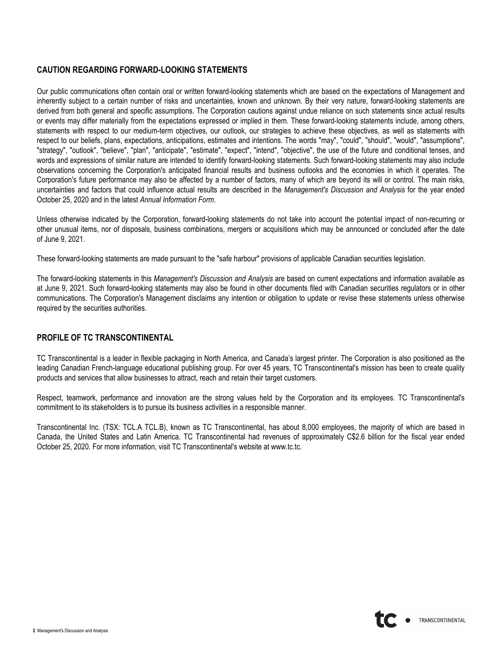# **CAUTION REGARDING FORWARD-LOOKING STATEMENTS**

Our public communications often contain oral or written forward-looking statements which are based on the expectations of Management and inherently subject to a certain number of risks and uncertainties, known and unknown. By their very nature, forward-looking statements are derived from both general and specific assumptions. The Corporation cautions against undue reliance on such statements since actual results or events may differ materially from the expectations expressed or implied in them. These forward-looking statements include, among others, statements with respect to our medium-term objectives, our outlook, our strategies to achieve these objectives, as well as statements with respect to our beliefs, plans, expectations, anticipations, estimates and intentions. The words "may", "could", "should", "would", "assumptions", "strategy", "outlook", "believe", "plan", "anticipate", "estimate", "expect", "intend", "objective", the use of the future and conditional tenses, and words and expressions of similar nature are intended to identify forward-looking statements. Such forward-looking statements may also include observations concerning the Corporation's anticipated financial results and business outlooks and the economies in which it operates. The Corporation's future performance may also be affected by a number of factors, many of which are beyond its will or control. The main risks, uncertainties and factors that could influence actual results are described in the *Management's Discussion and Analysis* for the year ended October 25, 2020 and in the latest *Annual Information Form*.

Unless otherwise indicated by the Corporation, forward-looking statements do not take into account the potential impact of non-recurring or other unusual items, nor of disposals, business combinations, mergers or acquisitions which may be announced or concluded after the date of June 9, 2021.

These forward-looking statements are made pursuant to the "safe harbour" provisions of applicable Canadian securities legislation.

The forward-looking statements in this *Management's Discussion and Analysis* are based on current expectations and information available as at June 9, 2021. Such forward-looking statements may also be found in other documents filed with Canadian securities regulators or in other communications. The Corporation's Management disclaims any intention or obligation to update or revise these statements unless otherwise required by the securities authorities.

## **PROFILE OF TC TRANSCONTINENTAL**

TC Transcontinental is a leader in flexible packaging in North America, and Canada's largest printer. The Corporation is also positioned as the leading Canadian French-language educational publishing group. For over 45 years, TC Transcontinental's mission has been to create quality products and services that allow businesses to attract, reach and retain their target customers.

Respect, teamwork, performance and innovation are the strong values held by the Corporation and its employees. TC Transcontinental's commitment to its stakeholders is to pursue its business activities in a responsible manner.

Transcontinental Inc. (TSX: TCL.A TCL.B), known as TC Transcontinental, has about 8,000 employees, the majority of which are based in Canada, the United States and Latin America. TC Transcontinental had revenues of approximately C\$2.6 billion for the fiscal year ended October 25, 2020. For more information, visit TC Transcontinental's website at www.tc.tc.

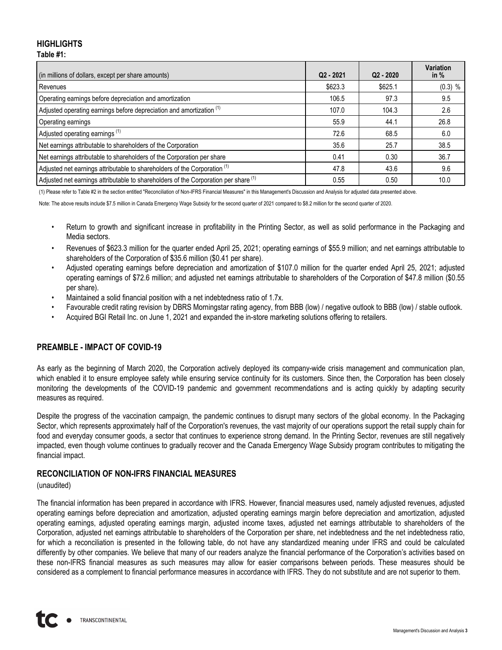## **HIGHLIGHTS Table #1:**

| (in millions of dollars, except per share amounts)                                   | $Q2 - 2021$ | $Q2 - 2020$ | Variation<br>in $%$ |
|--------------------------------------------------------------------------------------|-------------|-------------|---------------------|
| Revenues                                                                             | \$623.3     | \$625.1     | $(0.3)$ %           |
| Operating earnings before depreciation and amortization                              | 106.5       | 97.3        | 9.5                 |
| Adjusted operating earnings before depreciation and amortization <sup>(1)</sup>      | 107.0       | 104.3       | 2.6                 |
| Operating earnings                                                                   | 55.9        | 44.1        | 26.8                |
| Adjusted operating earnings <sup>(1)</sup>                                           | 72.6        | 68.5        | 6.0                 |
| Net earnings attributable to shareholders of the Corporation                         | 35.6        | 25.7        | 38.5                |
| Net earnings attributable to shareholders of the Corporation per share               | 0.41        | 0.30        | 36.7                |
| Adjusted net earnings attributable to shareholders of the Corporation <sup>(1)</sup> | 47.8        | 43.6        | 9.6                 |
| Adjusted net earnings attributable to shareholders of the Corporation per share (1)  | 0.55        | 0.50        | 10.0                |

(1) Please refer to Table #2 in the section entitled "Reconciliation of Non-IFRS Financial Measures" in this Management's Discussion and Analysis for adjusted data presented above.

Note: The above results include \$7.5 million in Canada Emergency Wage Subsidy for the second quarter of 2021 compared to \$8.2 million for the second quarter of 2020.

- Return to growth and significant increase in profitability in the Printing Sector, as well as solid performance in the Packaging and Media sectors.
- Revenues of \$623.3 million for the quarter ended April 25, 2021; operating earnings of \$55.9 million; and net earnings attributable to shareholders of the Corporation of \$35.6 million (\$0.41 per share).
- Adjusted operating earnings before depreciation and amortization of \$107.0 million for the quarter ended April 25, 2021; adjusted operating earnings of \$72.6 million; and adjusted net earnings attributable to shareholders of the Corporation of \$47.8 million (\$0.55 per share).
- Maintained a solid financial position with a net indebtedness ratio of 1.7x.
- Favourable credit rating revision by DBRS Morningstar rating agency, from BBB (low) / negative outlook to BBB (low) / stable outlook.
- Acquired BGI Retail Inc. on June 1, 2021 and expanded the in-store marketing solutions offering to retailers.

## **PREAMBLE - IMPACT OF COVID-19**

As early as the beginning of March 2020, the Corporation actively deployed its company-wide crisis management and communication plan, which enabled it to ensure employee safety while ensuring service continuity for its customers. Since then, the Corporation has been closely monitoring the developments of the COVID-19 pandemic and government recommendations and is acting quickly by adapting security measures as required.

Despite the progress of the vaccination campaign, the pandemic continues to disrupt many sectors of the global economy. In the Packaging Sector, which represents approximately half of the Corporation's revenues, the vast majority of our operations support the retail supply chain for food and everyday consumer goods, a sector that continues to experience strong demand. In the Printing Sector, revenues are still negatively impacted, even though volume continues to gradually recover and the Canada Emergency Wage Subsidy program contributes to mitigating the financial impact.

## **RECONCILIATION OF NON-IFRS FINANCIAL MEASURES**

## (unaudited)

The financial information has been prepared in accordance with IFRS. However, financial measures used, namely adjusted revenues, adjusted operating earnings before depreciation and amortization, adjusted operating earnings margin before depreciation and amortization, adjusted operating earnings, adjusted operating earnings margin, adjusted income taxes, adjusted net earnings attributable to shareholders of the Corporation, adjusted net earnings attributable to shareholders of the Corporation per share, net indebtedness and the net indebtedness ratio, for which a reconciliation is presented in the following table, do not have any standardized meaning under IFRS and could be calculated differently by other companies. We believe that many of our readers analyze the financial performance of the Corporation's activities based on these non-IFRS financial measures as such measures may allow for easier comparisons between periods. These measures should be considered as a complement to financial performance measures in accordance with IFRS. They do not substitute and are not superior to them.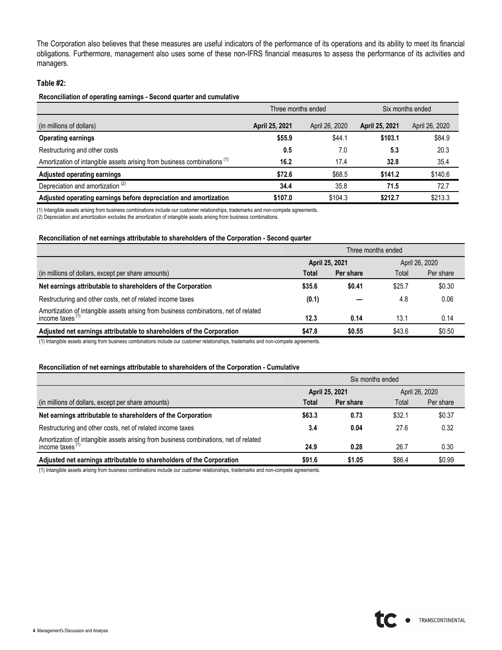The Corporation also believes that these measures are useful indicators of the performance of its operations and its ability to meet its financial obligations. Furthermore, management also uses some of these non-IFRS financial measures to assess the performance of its activities and managers.

#### **Table #2:**

#### **Reconciliation of operating earnings - Second quarter and cumulative**

|                                                                                     | Three months ended |                | Six months ended |                |
|-------------------------------------------------------------------------------------|--------------------|----------------|------------------|----------------|
| (in millions of dollars)                                                            | April 25, 2021     | April 26, 2020 | April 25, 2021   | April 26, 2020 |
| <b>Operating earnings</b>                                                           | \$55.9             | \$44.1         | \$103.1          | \$84.9         |
| Restructuring and other costs                                                       | 0.5                | 7.0            | 5.3              | 20.3           |
| Amortization of intangible assets arising from business combinations <sup>(1)</sup> | 16.2               | 17.4           | 32.8             | 35.4           |
| Adjusted operating earnings                                                         | \$72.6             | \$68.5         | \$141.2          | \$140.6        |
| Depreciation and amortization <sup>(2)</sup>                                        | 34.4               | 35.8           | 71.5             | 72.7           |
| Adjusted operating earnings before depreciation and amortization                    | \$107.0            | \$104.3        | \$212.7          | \$213.3        |

(1) Intangible assets arising from business combinations include our customer relationships, trademarks and non-compete agreements.

(2) Depreciation and amortization excludes the amortization of intangible assets arising from business combinations.

#### **Reconciliation of net earnings attributable to shareholders of the Corporation - Second quarter**

|                                                                                                            | Three months ended |           |                |           |
|------------------------------------------------------------------------------------------------------------|--------------------|-----------|----------------|-----------|
|                                                                                                            | April 25, 2021     |           | April 26, 2020 |           |
| (in millions of dollars, except per share amounts)                                                         | Total              | Per share | Total          | Per share |
| Net earnings attributable to shareholders of the Corporation                                               | \$35.6             | \$0.41    | \$25.7         | \$0.30    |
| Restructuring and other costs, net of related income taxes                                                 | (0.1)              |           | 4.8            | 0.06      |
| Amortization of intangible assets arising from business combinations, net of related income taxes $^{(1)}$ | 12.3               | 0.14      | 13.1           | 0.14      |
| Adjusted net earnings attributable to shareholders of the Corporation                                      | \$47.8             | \$0.55    | \$43.6         | \$0.50    |

(1) Intangible assets arising from business combinations include our customer relationships, trademarks and non-compete agreements.

#### **Reconciliation of net earnings attributable to shareholders of the Corporation - Cumulative**

|                                                                                                                                    | Six months ended |           |        |                |
|------------------------------------------------------------------------------------------------------------------------------------|------------------|-----------|--------|----------------|
|                                                                                                                                    | April 25, 2021   |           |        | April 26, 2020 |
| (in millions of dollars, except per share amounts)                                                                                 | Total            | Per share | Total  | Per share      |
| Net earnings attributable to shareholders of the Corporation                                                                       | \$63.3           | 0.73      | \$32.1 | \$0.37         |
| Restructuring and other costs, net of related income taxes                                                                         | 3.4              | 0.04      | 27.6   | 0.32           |
| Amortization of intangible assets arising from business combinations, net of related<br>$income$ taxes <sup><math>(1)</math></sup> | 24.9             | 0.28      | 26.7   | 0.30           |
| Adjusted net earnings attributable to shareholders of the Corporation                                                              | \$91.6           | \$1.05    | \$86.4 | \$0.99         |

(1) Intangible assets arising from business combinations include our customer relationships, trademarks and non-compete agreements.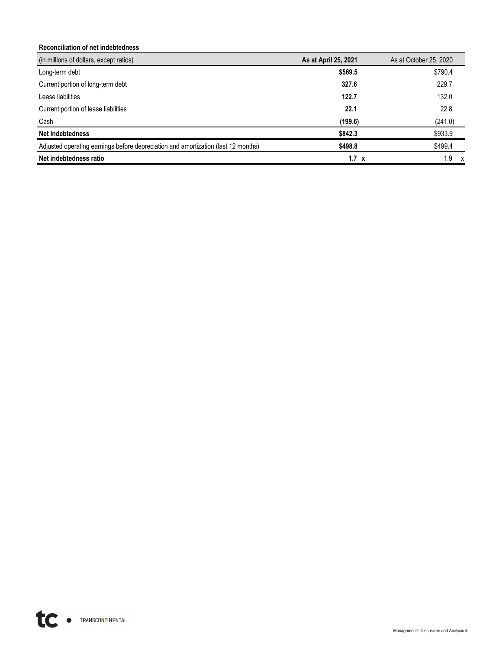### **Reconciliation of net indebtedness**

| (in millions of dollars, except ratios)                                           | As at April 25, 2021 | As at October 25, 2020 |
|-----------------------------------------------------------------------------------|----------------------|------------------------|
| Long-term debt                                                                    | \$569.5              | \$790.4                |
| Current portion of long-term debt                                                 | 327.6                | 229.7                  |
| Lease liabilities                                                                 | 122.7                | 132.0                  |
| Current portion of lease liabilities                                              | 22.1                 | 22.8                   |
| Cash                                                                              | (199.6)              | (241.0)                |
| Net indebtedness                                                                  | \$842.3              | \$933.9                |
| Adjusted operating earnings before depreciation and amortization (last 12 months) | \$498.8              | \$499.4                |
| Net indebtedness ratio                                                            | $1.7 \times$         | 1.9                    |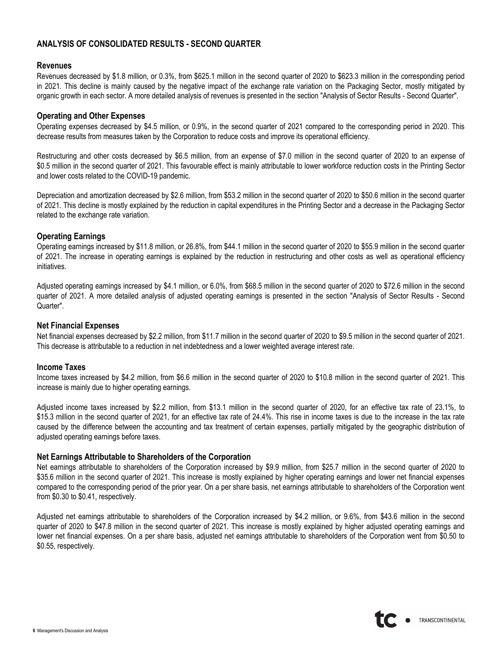## **ANALYSIS OF CONSOLIDATED RESULTS - SECOND QUARTER**

#### **Revenues**

Revenues decreased by \$1.8 million, or 0.3%, from \$625.1 million in the second quarter of 2020 to \$623.3 million in the corresponding period in 2021. This decline is mainly caused by the negative impact of the exchange rate variation on the Packaging Sector, mostly mitigated by organic growth in each sector. A more detailed analysis of revenues is presented in the section "Analysis of Sector Results - Second Quarter".

### **Operating and Other Expenses**

Operating expenses decreased by \$4.5 million, or 0.9%, in the second quarter of 2021 compared to the corresponding period in 2020. This decrease results from measures taken by the Corporation to reduce costs and improve its operational efficiency.

Restructuring and other costs decreased by \$6.5 million, from an expense of \$7.0 million in the second quarter of 2020 to an expense of \$0.5 million in the second quarter of 2021. This favourable effect is mainly attributable to lower workforce reduction costs in the Printing Sector and lower costs related to the COVID-19 pandemic.

Depreciation and amortization decreased by \$2.6 million, from \$53.2 million in the second quarter of 2020 to \$50.6 million in the second quarter of 2021. This decline is mostly explained by the reduction in capital expenditures in the Printing Sector and a decrease in the Packaging Sector related to the exchange rate variation.

## **Operating Earnings**

Operating earnings increased by \$11.8 million, or 26.8%, from \$44.1 million in the second quarter of 2020 to \$55.9 million in the second quarter of 2021. The increase in operating earnings is explained by the reduction in restructuring and other costs as well as operational efficiency initiatives.

Adjusted operating earnings increased by \$4.1 million, or 6.0%, from \$68.5 million in the second quarter of 2020 to \$72.6 million in the second quarter of 2021. A more detailed analysis of adjusted operating earnings is presented in the section "Analysis of Sector Results - Second Quarter".

#### **Net Financial Expenses**

Net financial expenses decreased by \$2.2 million, from \$11.7 million in the second quarter of 2020 to \$9.5 million in the second quarter of 2021. This decrease is attributable to a reduction in net indebtedness and a lower weighted average interest rate.

#### **Income Taxes**

Income taxes increased by \$4.2 million, from \$6.6 million in the second quarter of 2020 to \$10.8 million in the second quarter of 2021. This increase is mainly due to higher operating earnings.

Adjusted income taxes increased by \$2.2 million, from \$13.1 million in the second quarter of 2020, for an effective tax rate of 23.1%, to \$15.3 million in the second quarter of 2021, for an effective tax rate of 24.4%. This rise in income taxes is due to the increase in the tax rate caused by the difference between the accounting and tax treatment of certain expenses, partially mitigated by the geographic distribution of adjusted operating earnings before taxes.

#### **Net Earnings Attributable to Shareholders of the Corporation**

Net earnings attributable to shareholders of the Corporation increased by \$9.9 million, from \$25.7 million in the second quarter of 2020 to \$35.6 million in the second quarter of 2021. This increase is mostly explained by higher operating earnings and lower net financial expenses compared to the corresponding period of the prior year. On a per share basis, net earnings attributable to shareholders of the Corporation went from \$0.30 to \$0.41, respectively.

Adjusted net earnings attributable to shareholders of the Corporation increased by \$4.2 million, or 9.6%, from \$43.6 million in the second quarter of 2020 to \$47.8 million in the second quarter of 2021. This increase is mostly explained by higher adjusted operating earnings and lower net financial expenses. On a per share basis, adjusted net earnings attributable to shareholders of the Corporation went from \$0.50 to \$0.55, respectively.

TRANSCONTINENTAL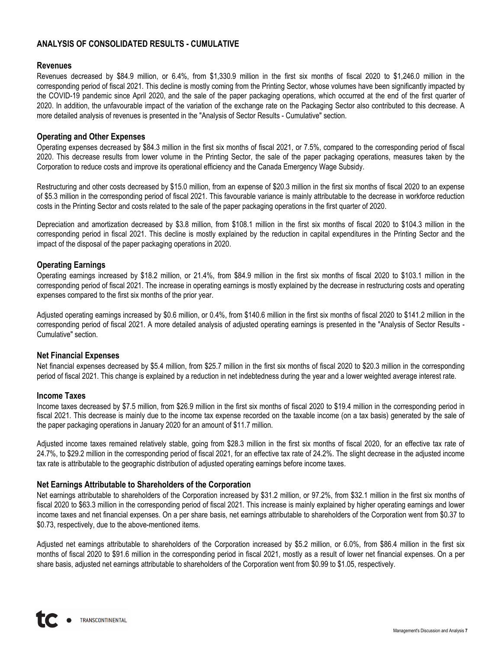# **ANALYSIS OF CONSOLIDATED RESULTS - CUMULATIVE**

#### **Revenues**

Revenues decreased by \$84.9 million, or 6.4%, from \$1,330.9 million in the first six months of fiscal 2020 to \$1,246.0 million in the corresponding period of fiscal 2021. This decline is mostly coming from the Printing Sector, whose volumes have been significantly impacted by the COVID-19 pandemic since April 2020, and the sale of the paper packaging operations, which occurred at the end of the first quarter of 2020. In addition, the unfavourable impact of the variation of the exchange rate on the Packaging Sector also contributed to this decrease. A more detailed analysis of revenues is presented in the "Analysis of Sector Results - Cumulative" section.

### **Operating and Other Expenses**

Operating expenses decreased by \$84.3 million in the first six months of fiscal 2021, or 7.5%, compared to the corresponding period of fiscal 2020. This decrease results from lower volume in the Printing Sector, the sale of the paper packaging operations, measures taken by the Corporation to reduce costs and improve its operational efficiency and the Canada Emergency Wage Subsidy.

Restructuring and other costs decreased by \$15.0 million, from an expense of \$20.3 million in the first six months of fiscal 2020 to an expense of \$5.3 million in the corresponding period of fiscal 2021. This favourable variance is mainly attributable to the decrease in workforce reduction costs in the Printing Sector and costs related to the sale of the paper packaging operations in the first quarter of 2020.

Depreciation and amortization decreased by \$3.8 million, from \$108.1 million in the first six months of fiscal 2020 to \$104.3 million in the corresponding period in fiscal 2021. This decline is mostly explained by the reduction in capital expenditures in the Printing Sector and the impact of the disposal of the paper packaging operations in 2020.

### **Operating Earnings**

Operating earnings increased by \$18.2 million, or 21.4%, from \$84.9 million in the first six months of fiscal 2020 to \$103.1 million in the corresponding period of fiscal 2021. The increase in operating earnings is mostly explained by the decrease in restructuring costs and operating expenses compared to the first six months of the prior year.

Adjusted operating earnings increased by \$0.6 million, or 0.4%, from \$140.6 million in the first six months of fiscal 2020 to \$141.2 million in the corresponding period of fiscal 2021. A more detailed analysis of adjusted operating earnings is presented in the "Analysis of Sector Results - Cumulative" section.

#### **Net Financial Expenses**

Net financial expenses decreased by \$5.4 million, from \$25.7 million in the first six months of fiscal 2020 to \$20.3 million in the corresponding period of fiscal 2021. This change is explained by a reduction in net indebtedness during the year and a lower weighted average interest rate.

#### **Income Taxes**

Income taxes decreased by \$7.5 million, from \$26.9 million in the first six months of fiscal 2020 to \$19.4 million in the corresponding period in fiscal 2021. This decrease is mainly due to the income tax expense recorded on the taxable income (on a tax basis) generated by the sale of the paper packaging operations in January 2020 for an amount of \$11.7 million.

Adjusted income taxes remained relatively stable, going from \$28.3 million in the first six months of fiscal 2020, for an effective tax rate of 24.7%, to \$29.2 million in the corresponding period of fiscal 2021, for an effective tax rate of 24.2%. The slight decrease in the adjusted income tax rate is attributable to the geographic distribution of adjusted operating earnings before income taxes.

## **Net Earnings Attributable to Shareholders of the Corporation**

Net earnings attributable to shareholders of the Corporation increased by \$31.2 million, or 97.2%, from \$32.1 million in the first six months of fiscal 2020 to \$63.3 million in the corresponding period of fiscal 2021. This increase is mainly explained by higher operating earnings and lower income taxes and net financial expenses. On a per share basis, net earnings attributable to shareholders of the Corporation went from \$0.37 to \$0.73, respectively, due to the above-mentioned items.

Adjusted net earnings attributable to shareholders of the Corporation increased by \$5.2 million, or 6.0%, from \$86.4 million in the first six months of fiscal 2020 to \$91.6 million in the corresponding period in fiscal 2021, mostly as a result of lower net financial expenses. On a per share basis, adjusted net earnings attributable to shareholders of the Corporation went from \$0.99 to \$1.05, respectively.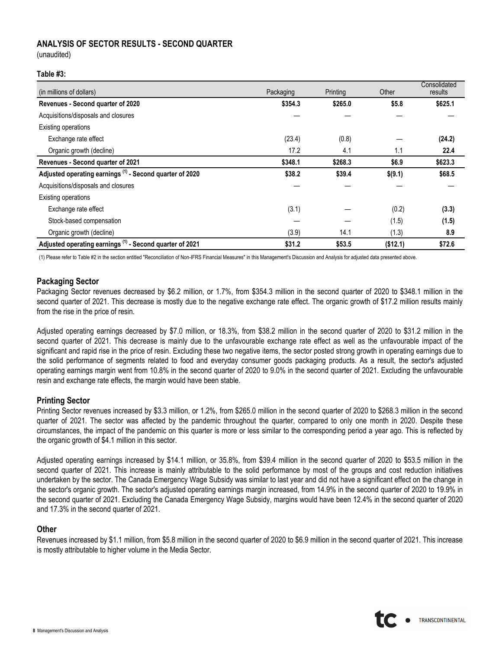## **ANALYSIS OF SECTOR RESULTS - SECOND QUARTER**

(unaudited)

### **Table #3:**

| (in millions of dollars)                                            | Packaging | Printing | Other    | Consolidated<br>results |
|---------------------------------------------------------------------|-----------|----------|----------|-------------------------|
| Revenues - Second quarter of 2020                                   | \$354.3   | \$265.0  | \$5.8    | \$625.1                 |
| Acquisitions/disposals and closures                                 |           |          |          |                         |
| Existing operations                                                 |           |          |          |                         |
| Exchange rate effect                                                | (23.4)    | (0.8)    |          | (24.2)                  |
| Organic growth (decline)                                            | 17.2      | 4.1      | 1.1      | 22.4                    |
| Revenues - Second quarter of 2021                                   | \$348.1   | \$268.3  | \$6.9    | \$623.3                 |
| Adjusted operating earnings <sup>(1)</sup> - Second quarter of 2020 | \$38.2    | \$39.4   | \$(9.1)  | \$68.5                  |
| Acquisitions/disposals and closures                                 |           |          |          |                         |
| <b>Existing operations</b>                                          |           |          |          |                         |
| Exchange rate effect                                                | (3.1)     |          | (0.2)    | (3.3)                   |
| Stock-based compensation                                            |           |          | (1.5)    | (1.5)                   |
| Organic growth (decline)                                            | (3.9)     | 14.1     | (1.3)    | 8.9                     |
| Adjusted operating earnings <sup>(1)</sup> - Second quarter of 2021 | \$31.2    | \$53.5   | (\$12.1) | \$72.6                  |

(1) Please refer to Table #2 in the section entitled "Reconciliation of Non-IFRS Financial Measures" in this Management's Discussion and Analysis for adjusted data presented above.

#### **Packaging Sector**

Packaging Sector revenues decreased by \$6.2 million, or 1.7%, from \$354.3 million in the second quarter of 2020 to \$348.1 million in the second quarter of 2021. This decrease is mostly due to the negative exchange rate effect. The organic growth of \$17.2 million results mainly from the rise in the price of resin.

Adjusted operating earnings decreased by \$7.0 million, or 18.3%, from \$38.2 million in the second quarter of 2020 to \$31.2 million in the second quarter of 2021. This decrease is mainly due to the unfavourable exchange rate effect as well as the unfavourable impact of the significant and rapid rise in the price of resin. Excluding these two negative items, the sector posted strong growth in operating earnings due to the solid performance of segments related to food and everyday consumer goods packaging products. As a result, the sector's adjusted operating earnings margin went from 10.8% in the second quarter of 2020 to 9.0% in the second quarter of 2021. Excluding the unfavourable resin and exchange rate effects, the margin would have been stable.

#### **Printing Sector**

Printing Sector revenues increased by \$3.3 million, or 1.2%, from \$265.0 million in the second quarter of 2020 to \$268.3 million in the second quarter of 2021. The sector was affected by the pandemic throughout the quarter, compared to only one month in 2020. Despite these circumstances, the impact of the pandemic on this quarter is more or less similar to the corresponding period a year ago. This is reflected by the organic growth of \$4.1 million in this sector.

Adjusted operating earnings increased by \$14.1 million, or 35.8%, from \$39.4 million in the second quarter of 2020 to \$53.5 million in the second quarter of 2021. This increase is mainly attributable to the solid performance by most of the groups and cost reduction initiatives undertaken by the sector. The Canada Emergency Wage Subsidy was similar to last year and did not have a significant effect on the change in the sector's organic growth. The sector's adjusted operating earnings margin increased, from 14.9% in the second quarter of 2020 to 19.9% in the second quarter of 2021. Excluding the Canada Emergency Wage Subsidy, margins would have been 12.4% in the second quarter of 2020 and 17.3% in the second quarter of 2021.

#### **Other**

Revenues increased by \$1.1 million, from \$5.8 million in the second quarter of 2020 to \$6.9 million in the second quarter of 2021. This increase is mostly attributable to higher volume in the Media Sector.

TRANSCONTINENTAL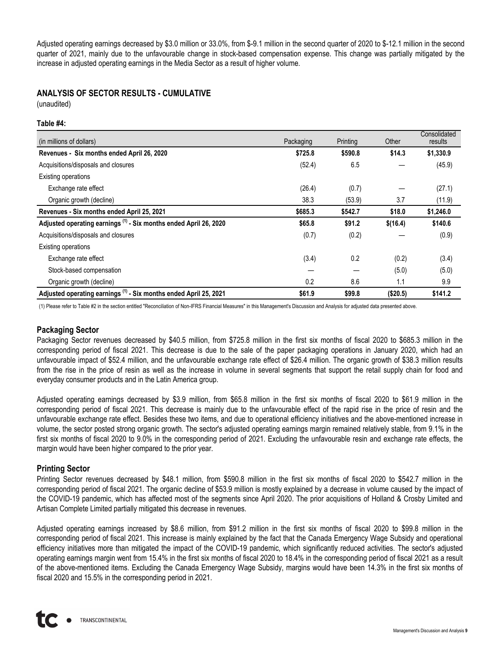Adjusted operating earnings decreased by \$3.0 million or 33.0%, from \$-9.1 million in the second quarter of 2020 to \$-12.1 million in the second quarter of 2021, mainly due to the unfavourable change in stock-based compensation expense. This change was partially mitigated by the increase in adjusted operating earnings in the Media Sector as a result of higher volume.

## **ANALYSIS OF SECTOR RESULTS - CUMULATIVE**

(unaudited)

#### **Table #4:**

| (in millions of dollars)                                                     | Packaging | Printing | Other    | Consolidated<br>results |
|------------------------------------------------------------------------------|-----------|----------|----------|-------------------------|
| Revenues - Six months ended April 26, 2020                                   | \$725.8   | \$590.8  | \$14.3   | \$1,330.9               |
| Acquisitions/disposals and closures                                          | (52.4)    | 6.5      |          | (45.9)                  |
| <b>Existing operations</b>                                                   |           |          |          |                         |
| Exchange rate effect                                                         | (26.4)    | (0.7)    |          | (27.1)                  |
| Organic growth (decline)                                                     | 38.3      | (53.9)   | 3.7      | (11.9)                  |
| Revenues - Six months ended April 25, 2021                                   | \$685.3   | \$542.7  | \$18.0   | \$1,246.0               |
| Adjusted operating earnings <sup>(1)</sup> - Six months ended April 26, 2020 | \$65.8    | \$91.2   | \$(16.4) | \$140.6                 |
| Acquisitions/disposals and closures                                          | (0.7)     | (0.2)    |          | (0.9)                   |
| <b>Existing operations</b>                                                   |           |          |          |                         |
| Exchange rate effect                                                         | (3.4)     | 0.2      | (0.2)    | (3.4)                   |
| Stock-based compensation                                                     |           |          | (5.0)    | (5.0)                   |
| Organic growth (decline)                                                     | 0.2       | 8.6      | 1.1      | 9.9                     |
| Adjusted operating earnings <sup>(1)</sup> - Six months ended April 25, 2021 | \$61.9    | \$99.8   | (\$20.5) | \$141.2                 |

(1) Please refer to Table #2 in the section entitled "Reconciliation of Non-IFRS Financial Measures" in this Management's Discussion and Analysis for adjusted data presented above.

## **Packaging Sector**

Packaging Sector revenues decreased by \$40.5 million, from \$725.8 million in the first six months of fiscal 2020 to \$685.3 million in the corresponding period of fiscal 2021. This decrease is due to the sale of the paper packaging operations in January 2020, which had an unfavourable impact of \$52.4 million, and the unfavourable exchange rate effect of \$26.4 million. The organic growth of \$38.3 million results from the rise in the price of resin as well as the increase in volume in several segments that support the retail supply chain for food and everyday consumer products and in the Latin America group.

Adjusted operating earnings decreased by \$3.9 million, from \$65.8 million in the first six months of fiscal 2020 to \$61.9 million in the corresponding period of fiscal 2021. This decrease is mainly due to the unfavourable effect of the rapid rise in the price of resin and the unfavourable exchange rate effect. Besides these two items, and due to operational efficiency initiatives and the above-mentioned increase in volume, the sector posted strong organic growth. The sector's adjusted operating earnings margin remained relatively stable, from 9.1% in the first six months of fiscal 2020 to 9.0% in the corresponding period of 2021. Excluding the unfavourable resin and exchange rate effects, the margin would have been higher compared to the prior year.

#### **Printing Sector**

Printing Sector revenues decreased by \$48.1 million, from \$590.8 million in the first six months of fiscal 2020 to \$542.7 million in the corresponding period of fiscal 2021. The organic decline of \$53.9 million is mostly explained by a decrease in volume caused by the impact of the COVID-19 pandemic, which has affected most of the segments since April 2020. The prior acquisitions of Holland & Crosby Limited and Artisan Complete Limited partially mitigated this decrease in revenues.

Adjusted operating earnings increased by \$8.6 million, from \$91.2 million in the first six months of fiscal 2020 to \$99.8 million in the corresponding period of fiscal 2021. This increase is mainly explained by the fact that the Canada Emergency Wage Subsidy and operational efficiency initiatives more than mitigated the impact of the COVID-19 pandemic, which significantly reduced activities. The sector's adjusted operating earnings margin went from 15.4% in the first six months of fiscal 2020 to 18.4% in the corresponding period of fiscal 2021 as a result of the above-mentioned items. Excluding the Canada Emergency Wage Subsidy, margins would have been 14.3% in the first six months of fiscal 2020 and 15.5% in the corresponding period in 2021.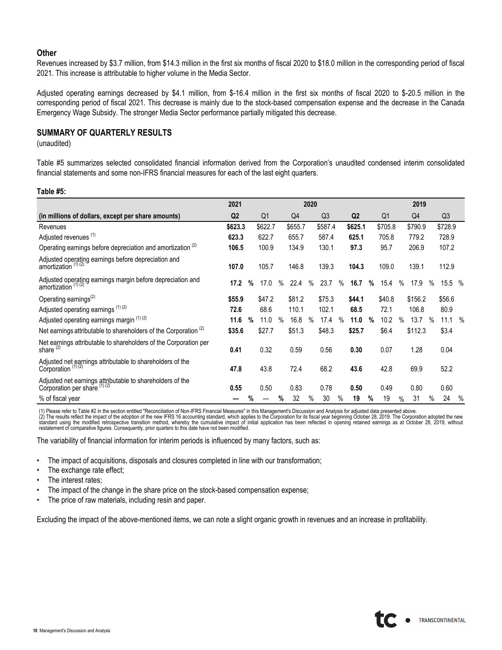#### **Other**

Revenues increased by \$3.7 million, from \$14.3 million in the first six months of fiscal 2020 to \$18.0 million in the corresponding period of fiscal 2021. This increase is attributable to higher volume in the Media Sector.

Adjusted operating earnings decreased by \$4.1 million, from \$-16.4 million in the first six months of fiscal 2020 to \$-20.5 million in the corresponding period of fiscal 2021. This decrease is mainly due to the stock-based compensation expense and the decrease in the Canada Emergency Wage Subsidy. The stronger Media Sector performance partially mitigated this decrease.

## **SUMMARY OF QUARTERLY RESULTS**

(unaudited)

Table #5 summarizes selected consolidated financial information derived from the Corporation's unaudited condensed interim consolidated financial statements and some non-IFRS financial measures for each of the last eight quarters.

#### **Table #5:**

|                                                                                              | 2021           |   |                |      |                | 2020 |                |      |                |      |         |      | 2019           |      |                |      |
|----------------------------------------------------------------------------------------------|----------------|---|----------------|------|----------------|------|----------------|------|----------------|------|---------|------|----------------|------|----------------|------|
| (in millions of dollars, except per share amounts)                                           | Q <sub>2</sub> |   | Q <sub>1</sub> |      | Q <sub>4</sub> |      | Q <sub>3</sub> |      | Q <sub>2</sub> |      | Q1      |      | Q <sub>4</sub> |      | Q <sub>3</sub> |      |
| Revenues                                                                                     | \$623.3        |   | \$622.7        |      | \$655.7        |      | \$587.4        |      | \$625.1        |      | \$705.8 |      | \$790.9        |      | \$728.9        |      |
| Adjusted revenues (1)                                                                        | 623.3          |   | 622.7          |      | 655.7          |      | 587.4          |      | 625.1          |      | 705.8   |      | 779.2          |      | 728.9          |      |
| Operating earnings before depreciation and amortization <sup>(2)</sup>                       | 106.5          |   | 100.9          |      | 134.9          |      | 130.1          |      | 97.3           |      | 95.7    |      | 206.9          |      | 107.2          |      |
| Adjusted operating earnings before depreciation and<br>amortization <sup>(1)(2)</sup>        | 107.0          |   | 105.7          |      | 146.8          |      | 139.3          |      | 104.3          |      | 109.0   |      | 139.1          |      | 112.9          |      |
| Adjusted operating earnings margin before depreciation and<br>amortization <sup>(1)(2)</sup> | 17.2           | % | 17.0           | $\%$ | 22.4           | $\%$ | 23.7           | $\%$ | 16.7           | %    | 15.4    | $\%$ | 17.9           | %    | 15.5 %         |      |
| Operating earnings <sup>(2)</sup>                                                            | \$55.9         |   | \$47.2         |      | \$81.2         |      | \$75.3         |      | \$44.1         |      | \$40.8  |      | \$156.2        |      | \$56.6         |      |
| Adjusted operating earnings <sup>(1)(2)</sup>                                                | 72.6           |   | 68.6           |      | 110.1          |      | 102.1          |      | 68.5           |      | 72.1    |      | 106.8          |      | 80.9           |      |
| Adjusted operating earnings margin (1) (2)                                                   | 11.6           | % | 11.0           | $\%$ | 16.8           | $\%$ | 17.4           | $\%$ | 11.0           | $\%$ | 10.2    | $\%$ | 13.7           | $\%$ | 11.1           | $\%$ |
| Net earnings attributable to shareholders of the Corporation $(2)$                           | \$35.6         |   | \$27.7         |      | \$51.3         |      | \$48.3         |      | \$25.7         |      | \$6.4   |      | \$112.3        |      | \$3.4          |      |
| Net earnings attributable to shareholders of the Corporation per<br>share $(2)$              | 0.41           |   | 0.32           |      | 0.59           |      | 0.56           |      | 0.30           |      | 0.07    |      | 1.28           |      | 0.04           |      |
| Adjusted net earnings attributable to shareholders of the<br>Corporation $(1)$ $(2)$         | 47.8           |   | 43.8           |      | 72.4           |      | 68.2           |      | 43.6           |      | 42.8    |      | 69.9           |      | 52.2           |      |
| Adjusted net earnings attributable to shareholders of the<br>Corporation per share (1)(2)    | 0.55           |   | 0.50           |      | 0.83           |      | 0.78           |      | 0.50           |      | 0.49    |      | 0.80           |      | 0.60           |      |
| % of fiscal year                                                                             |                | % |                | %    | 32             | $\%$ | 30             | %    | 19             | %    | 19      | %    | 31             | %    | 24             | $\%$ |

(1) Please refer to Table #2 in the section entitled "Reconciliation of Non-IFRS Financial Measures" in this Management's Discussion and Analysis for adjusted data presented above.<br>(2) The results reflect the impact of the restatement of comparative figures. Consequently, prior quarters to this date have not been modified.

The variability of financial information for interim periods is influenced by many factors, such as:

- The impact of acquisitions, disposals and closures completed in line with our transformation;
- The exchange rate effect;
- The interest rates;
- The impact of the change in the share price on the stock-based compensation expense;
- The price of raw materials, including resin and paper.

Excluding the impact of the above-mentioned items, we can note a slight organic growth in revenues and an increase in profitability.

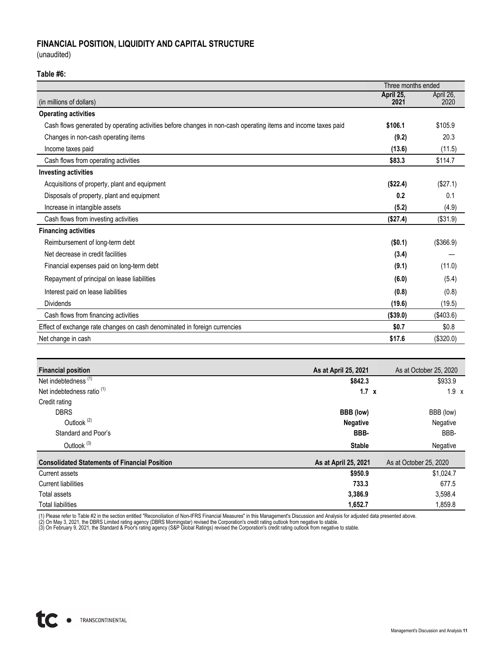# **FINANCIAL POSITION, LIQUIDITY AND CAPITAL STRUCTURE**

(unaudited)

#### **Table #6:**

|                                                                                                               |                   | Three months ended |  |  |  |
|---------------------------------------------------------------------------------------------------------------|-------------------|--------------------|--|--|--|
| (in millions of dollars)                                                                                      | April 25,<br>2021 | April 26,<br>2020  |  |  |  |
| <b>Operating activities</b>                                                                                   |                   |                    |  |  |  |
| Cash flows generated by operating activities before changes in non-cash operating items and income taxes paid | \$106.1           | \$105.9            |  |  |  |
| Changes in non-cash operating items                                                                           | (9.2)             | 20.3               |  |  |  |
| Income taxes paid                                                                                             | (13.6)            | (11.5)             |  |  |  |
| Cash flows from operating activities                                                                          | \$83.3            | \$114.7            |  |  |  |
| <b>Investing activities</b>                                                                                   |                   |                    |  |  |  |
| Acquisitions of property, plant and equipment                                                                 | (\$22.4)          | (\$27.1)           |  |  |  |
| Disposals of property, plant and equipment                                                                    | 0.2               | 0.1                |  |  |  |
| Increase in intangible assets                                                                                 | (5.2)             | (4.9)              |  |  |  |
| Cash flows from investing activities                                                                          | (\$27.4)          | (\$31.9)           |  |  |  |
| <b>Financing activities</b>                                                                                   |                   |                    |  |  |  |
| Reimbursement of long-term debt                                                                               | (\$0.1)           | (\$366.9)          |  |  |  |
| Net decrease in credit facilities                                                                             | (3.4)             |                    |  |  |  |
| Financial expenses paid on long-term debt                                                                     | (9.1)             | (11.0)             |  |  |  |
| Repayment of principal on lease liabilities                                                                   | (6.0)             | (5.4)              |  |  |  |
| Interest paid on lease liabilities                                                                            | (0.8)             | (0.8)              |  |  |  |
| <b>Dividends</b>                                                                                              | (19.6)            | (19.5)             |  |  |  |
| Cash flows from financing activities                                                                          | (\$39.0)          | (\$403.6)          |  |  |  |
| Effect of exchange rate changes on cash denominated in foreign currencies                                     | \$0.7             | \$0.8              |  |  |  |
| Net change in cash                                                                                            | \$17.6            | (\$320.0)          |  |  |  |

| <b>Financial position</b>                            | As at April 25, 2021 | As at October 25, 2020 |
|------------------------------------------------------|----------------------|------------------------|
| Net indebtedness <sup>(1)</sup>                      | \$842.3              | \$933.9                |
| Net indebtedness ratio <sup>(1)</sup>                | $1.7 \times$         | $1.9 \times$           |
| Credit rating                                        |                      |                        |
| <b>DBRS</b>                                          | BBB (low)            | BBB (low)              |
| Outlook <sup>(2)</sup>                               | <b>Negative</b>      | Negative               |
| Standard and Poor's                                  | BBB-                 | BBB-                   |
| Outlook <sup>(3)</sup>                               | <b>Stable</b>        | Negative               |
| <b>Consolidated Statements of Financial Position</b> | As at April 25, 2021 | As at October 25, 2020 |
| Current assets                                       | \$950.9              | \$1,024.7              |
| <b>Current liabilities</b>                           | 733.3                | 677.5                  |
| Total assets                                         | 3,386.9              | 3,598.4                |
| <b>Total liabilities</b>                             | 1,652.7              | 1,859.8                |

(1) Please refer to Table #2 in the section entitled "Reconciliation of Non-IFRS Financial Measures" in this Management's Discussion and Analysis for adjusted data presented above.<br>(2) On May 3, 2021, the DBRS Limited rati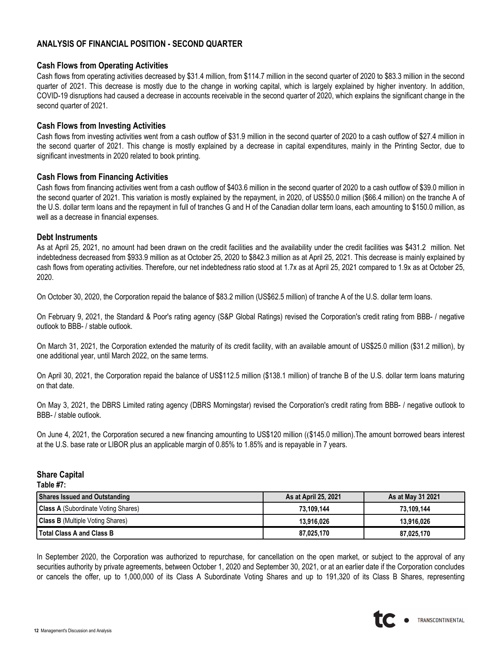# **ANALYSIS OF FINANCIAL POSITION - SECOND QUARTER**

### **Cash Flows from Operating Activities**

Cash flows from operating activities decreased by \$31.4 million, from \$114.7 million in the second quarter of 2020 to \$83.3 million in the second quarter of 2021. This decrease is mostly due to the change in working capital, which is largely explained by higher inventory. In addition, COVID-19 disruptions had caused a decrease in accounts receivable in the second quarter of 2020, which explains the significant change in the second quarter of 2021.

#### **Cash Flows from Investing Activities**

Cash flows from investing activities went from a cash outflow of \$31.9 million in the second quarter of 2020 to a cash outflow of \$27.4 million in the second quarter of 2021. This change is mostly explained by a decrease in capital expenditures, mainly in the Printing Sector, due to significant investments in 2020 related to book printing.

### **Cash Flows from Financing Activities**

Cash flows from financing activities went from a cash outflow of \$403.6 million in the second quarter of 2020 to a cash outflow of \$39.0 million in the second quarter of 2021. This variation is mostly explained by the repayment, in 2020, of US\$50.0 million (\$66.4 million) on the tranche A of the U.S. dollar term loans and the repayment in full of tranches G and H of the Canadian dollar term loans, each amounting to \$150.0 million, as well as a decrease in financial expenses.

### **Debt Instruments**

As at April 25, 2021, no amount had been drawn on the credit facilities and the availability under the credit facilities was \$431.2 million. Net indebtedness decreased from \$933.9 million as at October 25, 2020 to \$842.3 million as at April 25, 2021. This decrease is mainly explained by cash flows from operating activities. Therefore, our net indebtedness ratio stood at 1.7x as at April 25, 2021 compared to 1.9x as at October 25, 2020.

On October 30, 2020, the Corporation repaid the balance of \$83.2 million (US\$62.5 million) of tranche A of the U.S. dollar term loans.

On February 9, 2021, the Standard & Poor's rating agency (S&P Global Ratings) revised the Corporation's credit rating from BBB- / negative outlook to BBB- / stable outlook.

On March 31, 2021, the Corporation extended the maturity of its credit facility, with an available amount of US\$25.0 million (\$31.2 million), by one additional year, until March 2022, on the same terms.

On April 30, 2021, the Corporation repaid the balance of US\$112.5 million (\$138.1 million) of tranche B of the U.S. dollar term loans maturing on that date.

On May 3, 2021, the DBRS Limited rating agency (DBRS Morningstar) revised the Corporation's credit rating from BBB- / negative outlook to BBB- / stable outlook.

On June 4, 2021, the Corporation secured a new financing amounting to US\$120 million ((\$145.0 million).The amount borrowed bears interest at the U.S. base rate or LIBOR plus an applicable margin of 0.85% to 1.85% and is repayable in 7 years.

## **Share Capital**

**Table #7:**

| <b>Shares Issued and Outstanding</b>       | As at April 25, 2021 | As at May 31 2021 |
|--------------------------------------------|----------------------|-------------------|
| <b>Class A</b> (Subordinate Voting Shares) | 73.109.144           | 73.109.144        |
| <b>Class B</b> (Multiple Voting Shares)    | 13.916.026           | 13.916.026        |
| <b>Total Class A and Class B</b>           | 87.025.170           | 87.025.170        |

In September 2020, the Corporation was authorized to repurchase, for cancellation on the open market, or subject to the approval of any securities authority by private agreements, between October 1, 2020 and September 30, 2021, or at an earlier date if the Corporation concludes or cancels the offer, up to 1,000,000 of its Class A Subordinate Voting Shares and up to 191,320 of its Class B Shares, representing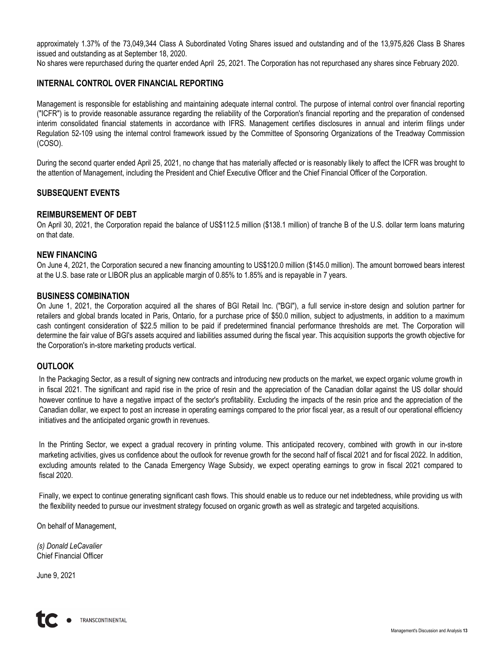approximately 1.37% of the 73,049,344 Class A Subordinated Voting Shares issued and outstanding and of the 13,975,826 Class B Shares issued and outstanding as at September 18, 2020.

No shares were repurchased during the quarter ended April 25, 2021. The Corporation has not repurchased any shares since February 2020.

## **INTERNAL CONTROL OVER FINANCIAL REPORTING**

Management is responsible for establishing and maintaining adequate internal control. The purpose of internal control over financial reporting ("ICFR") is to provide reasonable assurance regarding the reliability of the Corporation's financial reporting and the preparation of condensed interim consolidated financial statements in accordance with IFRS. Management certifies disclosures in annual and interim filings under Regulation 52-109 using the internal control framework issued by the Committee of Sponsoring Organizations of the Treadway Commission (COSO).

During the second quarter ended April 25, 2021, no change that has materially affected or is reasonably likely to affect the ICFR was brought to the attention of Management, including the President and Chief Executive Officer and the Chief Financial Officer of the Corporation.

## **SUBSEQUENT EVENTS**

## **REIMBURSEMENT OF DEBT**

On April 30, 2021, the Corporation repaid the balance of US\$112.5 million (\$138.1 million) of tranche B of the U.S. dollar term loans maturing on that date.

## **NEW FINANCING**

On June 4, 2021, the Corporation secured a new financing amounting to US\$120.0 million (\$145.0 million). The amount borrowed bears interest at the U.S. base rate or LIBOR plus an applicable margin of 0.85% to 1.85% and is repayable in 7 years.

### **BUSINESS COMBINATION**

On June 1, 2021, the Corporation acquired all the shares of BGI Retail Inc. ("BGI"), a full service in-store design and solution partner for retailers and global brands located in Paris, Ontario, for a purchase price of \$50.0 million, subject to adjustments, in addition to a maximum cash contingent consideration of \$22.5 million to be paid if predetermined financial performance thresholds are met. The Corporation will determine the fair value of BGI's assets acquired and liabilities assumed during the fiscal year. This acquisition supports the growth objective for the Corporation's in-store marketing products vertical.

## **OUTLOOK**

In the Packaging Sector, as a result of signing new contracts and introducing new products on the market, we expect organic volume growth in in fiscal 2021. The significant and rapid rise in the price of resin and the appreciation of the Canadian dollar against the US dollar should however continue to have a negative impact of the sector's profitability. Excluding the impacts of the resin price and the appreciation of the Canadian dollar, we expect to post an increase in operating earnings compared to the prior fiscal year, as a result of our operational efficiency initiatives and the anticipated organic growth in revenues.

In the Printing Sector, we expect a gradual recovery in printing volume. This anticipated recovery, combined with growth in our in-store marketing activities, gives us confidence about the outlook for revenue growth for the second half of fiscal 2021 and for fiscal 2022. In addition, excluding amounts related to the Canada Emergency Wage Subsidy, we expect operating earnings to grow in fiscal 2021 compared to fiscal 2020.

Finally, we expect to continue generating significant cash flows. This should enable us to reduce our net indebtedness, while providing us with the flexibility needed to pursue our investment strategy focused on organic growth as well as strategic and targeted acquisitions.

On behalf of Management,

*(s) Donald LeCavalier* Chief Financial Officer

June 9, 2021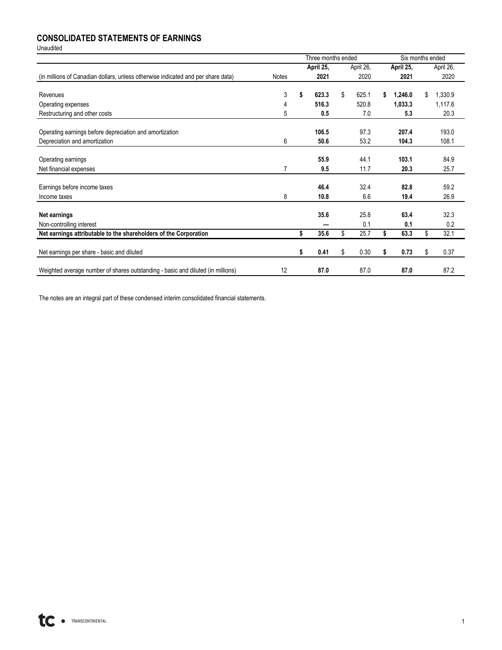# **CONSOLIDATED STATEMENTS OF EARNINGS**

Unaudited

|                                                                                  |              |    | Three months ended |    |           |    | Six months ended |    |           |
|----------------------------------------------------------------------------------|--------------|----|--------------------|----|-----------|----|------------------|----|-----------|
|                                                                                  |              |    | April 25,          |    | April 26, |    | April 25,        |    | April 26, |
| (in millions of Canadian dollars, unless otherwise indicated and per share data) | <b>Notes</b> |    | 2021               |    | 2020      |    | 2021             |    | 2020      |
|                                                                                  |              |    |                    |    |           |    |                  |    |           |
| Revenues                                                                         | 3            | S  | 623.3              | \$ | 625.1     | \$ | 1,246.0          | \$ | 1,330.9   |
| Operating expenses                                                               | 4            |    | 516.3              |    | 520.8     |    | 1,033.3          |    | 1,117.6   |
| Restructuring and other costs                                                    | 5            |    | 0.5                |    | 7.0       |    | 5.3              |    | 20.3      |
|                                                                                  |              |    |                    |    |           |    |                  |    |           |
| Operating earnings before depreciation and amortization                          |              |    | 106.5              |    | 97.3      |    | 207.4            |    | 193.0     |
| Depreciation and amortization                                                    | 6            |    | 50.6               |    | 53.2      |    | 104.3            |    | 108.1     |
|                                                                                  |              |    |                    |    |           |    |                  |    |           |
| Operating earnings                                                               |              |    | 55.9               |    | 44.1      |    | 103.1            |    | 84.9      |
| Net financial expenses                                                           | 7            |    | 9.5                |    | 11.7      |    | 20.3             |    | 25.7      |
|                                                                                  |              |    |                    |    |           |    |                  |    |           |
| Earnings before income taxes                                                     |              |    | 46.4               |    | 32.4      |    | 82.8             |    | 59.2      |
| Income taxes                                                                     | 8            |    | 10.8               |    | 6.6       |    | 19.4             |    | 26.9      |
|                                                                                  |              |    |                    |    |           |    |                  |    |           |
| Net earnings                                                                     |              |    | 35.6               |    | 25.8      |    | 63.4             |    | 32.3      |
| Non-controlling interest                                                         |              |    |                    |    | 0.1       |    | 0.1              |    | 0.2       |
| Net earnings attributable to the shareholders of the Corporation                 |              | \$ | 35.6               | \$ | 25.7      | \$ | 63.3             | \$ | 32.1      |
|                                                                                  |              |    |                    |    |           |    |                  |    |           |
| Net earnings per share - basic and diluted                                       |              | S  | 0.41               | S  | 0.30      | S  | 0.73             | \$ | 0.37      |
|                                                                                  |              |    |                    |    |           |    |                  |    |           |
| Weighted average number of shares outstanding - basic and diluted (in millions)  | 12           |    | 87.0               |    | 87.0      |    | 87.0             |    | 87.2      |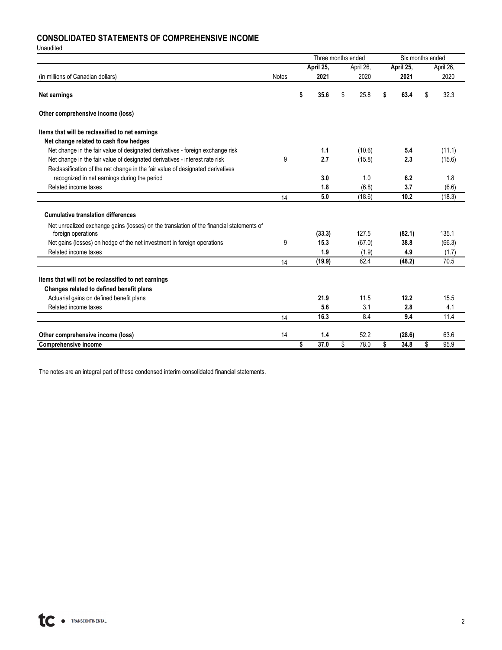# **CONSOLIDATED STATEMENTS OF COMPREHENSIVE INCOME**

Unaudited

|                                                                                                                | Three months ended |            |            |    | Six months ended |    |           |
|----------------------------------------------------------------------------------------------------------------|--------------------|------------|------------|----|------------------|----|-----------|
|                                                                                                                |                    | April 25,  | April 26,  |    | April 25,        |    | April 26, |
| (in millions of Canadian dollars)                                                                              | <b>Notes</b>       | 2021       | 2020       |    | 2021             |    | 2020      |
| Net earnings                                                                                                   |                    | \$<br>35.6 | \$<br>25.8 | S  | 63.4             | \$ | 32.3      |
| Other comprehensive income (loss)                                                                              |                    |            |            |    |                  |    |           |
| Items that will be reclassified to net earnings                                                                |                    |            |            |    |                  |    |           |
| Net change related to cash flow hedges                                                                         |                    |            |            |    |                  |    |           |
| Net change in the fair value of designated derivatives - foreign exchange risk                                 |                    | 1.1        | (10.6)     |    | 5.4              |    | (11.1)    |
| Net change in the fair value of designated derivatives - interest rate risk                                    | 9                  | 2.7        | (15.8)     |    | 2.3              |    | (15.6)    |
| Reclassification of the net change in the fair value of designated derivatives                                 |                    |            |            |    |                  |    |           |
| recognized in net earnings during the period                                                                   |                    | 3.0        | 1.0        |    | 6.2              |    | 1.8       |
| Related income taxes                                                                                           |                    | 1.8        | (6.8)      |    | 3.7              |    | (6.6)     |
|                                                                                                                | 14                 | 5.0        | (18.6)     |    | 10.2             |    | (18.3)    |
| <b>Cumulative translation differences</b>                                                                      |                    |            |            |    |                  |    |           |
| Net unrealized exchange gains (losses) on the translation of the financial statements of<br>foreign operations |                    | (33.3)     | 127.5      |    | (82.1)           |    | 135.1     |
| Net gains (losses) on hedge of the net investment in foreign operations                                        | 9                  | 15.3       | (67.0)     |    | 38.8             |    | (66.3)    |
| Related income taxes                                                                                           |                    | 1.9        | (1.9)      |    | 4.9              |    | (1.7)     |
|                                                                                                                | 14                 | (19.9)     | 62.4       |    | (48.2)           |    | 70.5      |
| Items that will not be reclassified to net earnings                                                            |                    |            |            |    |                  |    |           |
| Changes related to defined benefit plans                                                                       |                    |            |            |    |                  |    |           |
| Actuarial gains on defined benefit plans                                                                       |                    | 21.9       | 11.5       |    | 12.2             |    | 15.5      |
| Related income taxes                                                                                           |                    | 5.6        | 3.1        |    | 2.8              |    | 4.1       |
|                                                                                                                | 14                 | 16.3       | 8.4        |    | 9.4              |    | 11.4      |
|                                                                                                                |                    |            |            |    |                  |    |           |
| Other comprehensive income (loss)                                                                              | 14                 | 1.4        | 52.2       |    | (28.6)           |    | 63.6      |
| <b>Comprehensive income</b>                                                                                    |                    | \$<br>37.0 | \$<br>78.0 | \$ | 34.8             | \$ | 95.9      |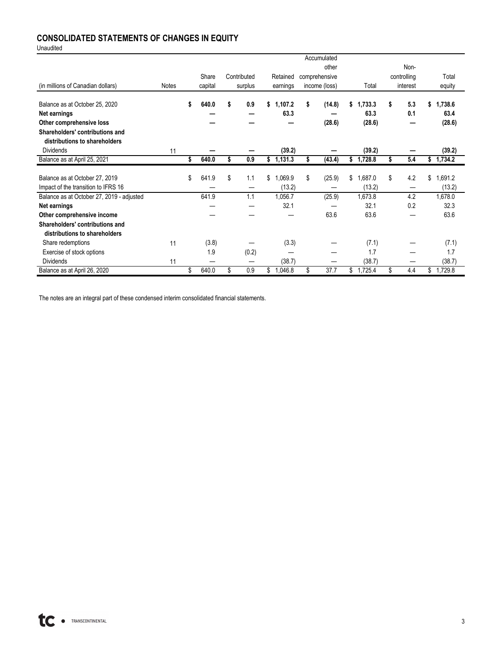# **CONSOLIDATED STATEMENTS OF CHANGES IN EQUITY**

Unaudited

|                                           |              |             |             |               | Accumulated   |    |         |             |               |
|-------------------------------------------|--------------|-------------|-------------|---------------|---------------|----|---------|-------------|---------------|
|                                           |              |             |             |               | other         |    |         | Non-        |               |
|                                           |              | Share       | Contributed | Retained      | comprehensive |    |         | controlling | Total         |
| (in millions of Canadian dollars)         | <b>Notes</b> | capital     | surplus     | earnings      | income (loss) |    | Total   | interest    | equity        |
|                                           |              |             |             |               |               |    |         |             |               |
| Balance as at October 25, 2020            |              | \$<br>640.0 | \$<br>0.9   | \$<br>1,107.2 | \$<br>(14.8)  | S  | ,733.3  | \$<br>5.3   | \$<br>1,738.6 |
| Net earnings                              |              |             |             | 63.3          |               |    | 63.3    | 0.1         | 63.4          |
| Other comprehensive loss                  |              |             |             |               | (28.6)        |    | (28.6)  |             | (28.6)        |
| Shareholders' contributions and           |              |             |             |               |               |    |         |             |               |
| distributions to shareholders             |              |             |             |               |               |    |         |             |               |
| <b>Dividends</b>                          | 11           |             |             | (39.2)        |               |    | (39.2)  |             | (39.2)        |
| Balance as at April 25, 2021              |              | \$<br>640.0 | \$<br>0.9   | \$1,131.3     | \$<br>(43.4)  | S. | 1,728.8 | \$<br>5.4   | \$1,734.2     |
|                                           |              |             |             |               |               |    |         |             |               |
| Balance as at October 27, 2019            |              | \$<br>641.9 | \$<br>1.1   | \$<br>1,069.9 | \$<br>(25.9)  | \$ | 1,687.0 | \$<br>4.2   | \$<br>1,691.2 |
| Impact of the transition to IFRS 16       |              |             |             | (13.2)        |               |    | (13.2)  | —           | (13.2)        |
| Balance as at October 27, 2019 - adjusted |              | 641.9       | 1.1         | 1,056.7       | (25.9)        |    | 1,673.8 | 4.2         | 1,678.0       |
| Net earnings                              |              |             |             | 32.1          |               |    | 32.1    | 0.2         | 32.3          |
| Other comprehensive income                |              |             |             |               | 63.6          |    | 63.6    |             | 63.6          |
| Shareholders' contributions and           |              |             |             |               |               |    |         |             |               |
| distributions to shareholders             |              |             |             |               |               |    |         |             |               |
| Share redemptions                         | 11           | (3.8)       |             | (3.3)         |               |    | (7.1)   |             | (7.1)         |
| Exercise of stock options                 |              | 1.9         | (0.2)       |               |               |    | 1.7     |             | 1.7           |
| <b>Dividends</b>                          | 11           |             | –           | (38.7)        |               |    | (38.7)  |             | (38.7)        |
| Balance as at April 26, 2020              |              | \$<br>640.0 | \$<br>0.9   | \$<br>1,046.8 | \$<br>37.7    | \$ | 1,725.4 | \$<br>4.4   | \$<br>1,729.8 |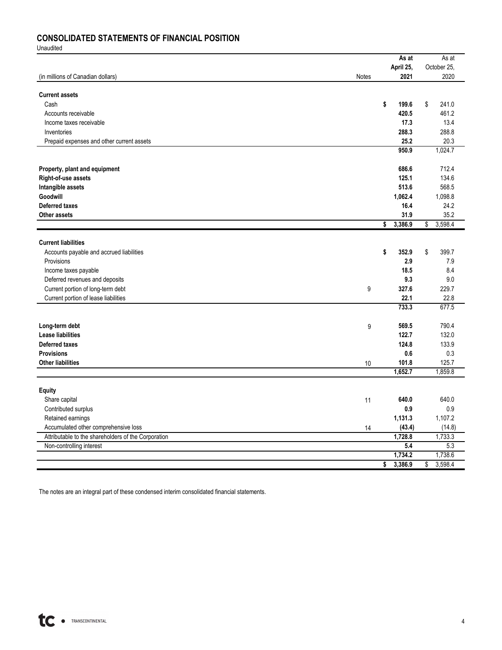# **CONSOLIDATED STATEMENTS OF FINANCIAL POSITION**

Unaudited

|                                                     |       | As at         | As at         |
|-----------------------------------------------------|-------|---------------|---------------|
|                                                     |       | April 25,     | October 25.   |
| (in millions of Canadian dollars)                   | Notes | 2021          | 2020          |
|                                                     |       |               |               |
| <b>Current assets</b>                               |       |               |               |
| Cash                                                |       | \$<br>199.6   | \$<br>241.0   |
| Accounts receivable                                 |       | 420.5         | 461.2         |
| Income taxes receivable                             |       | 17.3          | 13.4          |
| Inventories                                         |       | 288.3         | 288.8         |
|                                                     |       | 25.2          | 20.3          |
| Prepaid expenses and other current assets           |       | 950.9         | 1,024.7       |
|                                                     |       |               |               |
|                                                     |       |               |               |
| Property, plant and equipment                       |       | 686.6         | 712.4         |
| Right-of-use assets                                 |       | 125.1         | 134.6         |
| Intangible assets                                   |       | 513.6         | 568.5         |
| Goodwill                                            |       | 1,062.4       | 1,098.8       |
| <b>Deferred taxes</b>                               |       | 16.4          | 24.2          |
| <b>Other assets</b>                                 |       | 31.9          | 35.2          |
|                                                     |       | \$<br>3,386.9 | \$<br>3,598.4 |
|                                                     |       |               |               |
| <b>Current liabilities</b>                          |       |               |               |
| Accounts payable and accrued liabilities            |       | \$<br>352.9   | \$<br>399.7   |
| Provisions                                          |       | 2.9           | 7.9           |
| Income taxes payable                                |       | 18.5          | 8.4           |
| Deferred revenues and deposits                      |       | 9.3           | 9.0           |
| Current portion of long-term debt                   | 9     | 327.6         | 229.7         |
| Current portion of lease liabilities                |       | 22.1          | 22.8          |
|                                                     |       | 733.3         | 677.5         |
|                                                     |       |               |               |
|                                                     |       |               |               |
| Long-term debt                                      | 9     | 569.5         | 790.4         |
| <b>Lease liabilities</b>                            |       | 122.7         | 132.0         |
| <b>Deferred taxes</b>                               |       | 124.8         | 133.9         |
| <b>Provisions</b>                                   |       | 0.6           | 0.3           |
| <b>Other liabilities</b>                            | 10    | 101.8         | 125.7         |
|                                                     |       | 1,652.7       | 1,859.8       |
|                                                     |       |               |               |
| <b>Equity</b>                                       |       |               |               |
| Share capital                                       | 11    | 640.0         | 640.0         |
| Contributed surplus                                 |       | 0.9           | 0.9           |
| Retained earnings                                   |       | 1,131.3       | 1,107.2       |
| Accumulated other comprehensive loss                | 14    | (43.4)        | (14.8)        |
| Attributable to the shareholders of the Corporation |       | 1,728.8       | 1,733.3       |
| Non-controlling interest                            |       | 5.4           | 5.3           |
|                                                     |       | 1,734.2       | 1,738.6       |
|                                                     |       | \$<br>3,386.9 | \$<br>3,598.4 |
|                                                     |       |               |               |

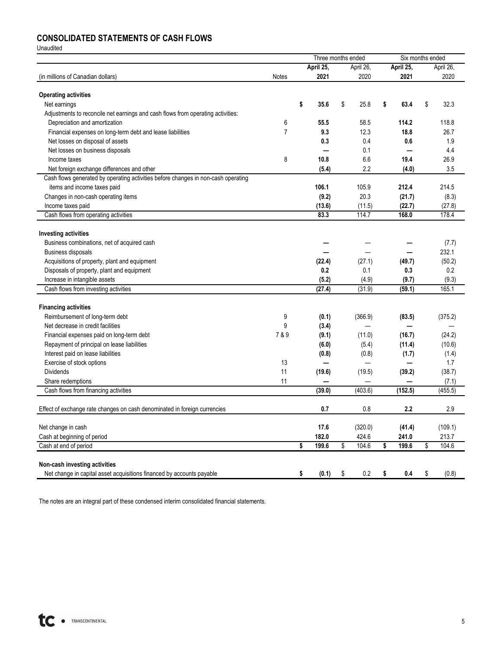# **CONSOLIDATED STATEMENTS OF CASH FLOWS**

Unaudited

|                                                                                   |                | Three months ended       |             |             | Six months ended |           |  |
|-----------------------------------------------------------------------------------|----------------|--------------------------|-------------|-------------|------------------|-----------|--|
|                                                                                   |                | April 25,                | April 26,   | April 25,   |                  | April 26, |  |
| (in millions of Canadian dollars)                                                 | Notes          | 2021                     | 2020        | 2021        |                  | 2020      |  |
| <b>Operating activities</b>                                                       |                |                          |             |             |                  |           |  |
| Net earnings                                                                      |                | \$<br>35.6               | \$<br>25.8  | \$<br>63.4  | \$               | 32.3      |  |
| Adjustments to reconcile net earnings and cash flows from operating activities:   |                |                          |             |             |                  |           |  |
| Depreciation and amortization                                                     | 6              | 55.5                     | 58.5        | 114.2       |                  | 118.8     |  |
| Financial expenses on long-term debt and lease liabilities                        | $\overline{7}$ | 9.3                      | 12.3        | 18.8        |                  | 26.7      |  |
| Net losses on disposal of assets                                                  |                | 0.3                      | 0.4         | 0.6         |                  | 1.9       |  |
| Net losses on business disposals                                                  |                | -                        | 0.1         |             |                  | 4.4       |  |
| Income taxes                                                                      | 8              | 10.8                     | 6.6         | 19.4        |                  | 26.9      |  |
| Net foreign exchange differences and other                                        |                | (5.4)                    | 2.2         | (4.0)       |                  | 3.5       |  |
| Cash flows generated by operating activities before changes in non-cash operating |                |                          |             |             |                  |           |  |
| items and income taxes paid                                                       |                | 106.1                    | 105.9       | 212.4       |                  | 214.5     |  |
| Changes in non-cash operating items                                               |                | (9.2)                    | 20.3        | (21.7)      |                  | (8.3)     |  |
| Income taxes paid                                                                 |                | (13.6)                   | (11.5)      | (22.7)      |                  | (27.8)    |  |
| Cash flows from operating activities                                              |                | 83.3                     | 114.7       | 168.0       |                  | 178.4     |  |
|                                                                                   |                |                          |             |             |                  |           |  |
| <b>Investing activities</b>                                                       |                |                          |             |             |                  |           |  |
| Business combinations, net of acquired cash                                       |                |                          |             |             |                  | (7.7)     |  |
| <b>Business disposals</b>                                                         |                |                          |             |             |                  | 232.1     |  |
| Acquisitions of property, plant and equipment                                     |                | (22.4)                   | (27.1)      | (49.7)      |                  | (50.2)    |  |
| Disposals of property, plant and equipment                                        |                | 0.2                      | 0.1         | 0.3         |                  | 0.2       |  |
| Increase in intangible assets                                                     |                | (5.2)                    | (4.9)       | (9.7)       |                  | (9.3)     |  |
| Cash flows from investing activities                                              |                | (27.4)                   | (31.9)      | (59.1)      |                  | 165.1     |  |
| <b>Financing activities</b>                                                       |                |                          |             |             |                  |           |  |
| Reimbursement of long-term debt                                                   | 9              | (0.1)                    | (366.9)     | (83.5)      |                  | (375.2)   |  |
| Net decrease in credit facilities                                                 | 9              | (3.4)                    |             |             |                  |           |  |
| Financial expenses paid on long-term debt                                         | 7 & 9          | (9.1)                    | (11.0)      | (16.7)      |                  | (24.2)    |  |
| Repayment of principal on lease liabilities                                       |                | (6.0)                    | (5.4)       | (11.4)      |                  | (10.6)    |  |
| Interest paid on lease liabilities                                                |                | (0.8)                    | (0.8)       | (1.7)       |                  | (1.4)     |  |
| Exercise of stock options                                                         | 13             | $\overline{\phantom{0}}$ |             |             |                  | 1.7       |  |
| <b>Dividends</b>                                                                  | 11             | (19.6)                   | (19.5)      | (39.2)      |                  | (38.7)    |  |
| Share redemptions                                                                 | 11             |                          |             |             |                  | (7.1)     |  |
| Cash flows from financing activities                                              |                | (39.0)                   | (403.6)     | (152.5)     |                  | (455.5)   |  |
|                                                                                   |                |                          |             |             |                  |           |  |
| Effect of exchange rate changes on cash denominated in foreign currencies         |                | 0.7                      | 0.8         | 2.2         |                  | 2.9       |  |
| Net change in cash                                                                |                | 17.6                     | (320.0)     | (41.4)      |                  | (109.1)   |  |
| Cash at beginning of period                                                       |                | 182.0                    | 424.6       | 241.0       |                  | 213.7     |  |
| Cash at end of period                                                             |                | \$<br>199.6              | \$<br>104.6 | \$<br>199.6 | \$               | 104.6     |  |
|                                                                                   |                |                          |             |             |                  |           |  |
| Non-cash investing activities                                                     |                |                          |             |             |                  |           |  |
| Net change in capital asset acquisitions financed by accounts payable             |                | \$<br>(0.1)              | \$<br>0.2   | \$<br>0.4   | \$               | (0.8)     |  |

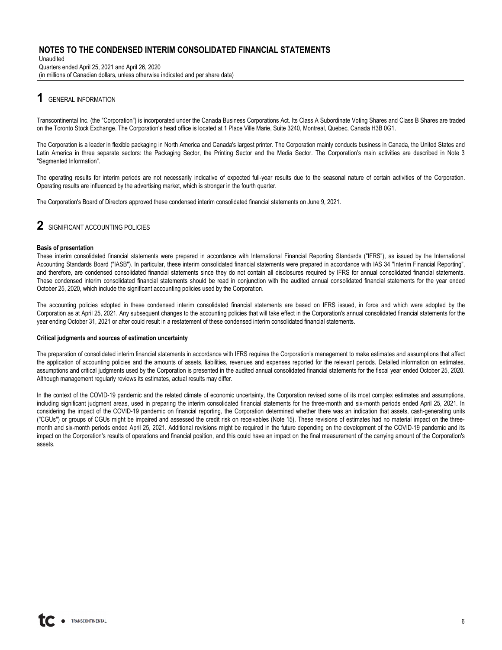Unaudited Quarters ended April 25, 2021 and April 26, 2020 (in millions of Canadian dollars, unless otherwise indicated and per share data)

# **1** GENERAL INFORMATION

Transcontinental Inc. (the "Corporation") is incorporated under the Canada Business Corporations Act. Its Class A Subordinate Voting Shares and Class B Shares are traded on the Toronto Stock Exchange. The Corporation's head office is located at 1 Place Ville Marie, Suite 3240, Montreal, Quebec, Canada H3B 0G1.

The Corporation is a leader in flexible packaging in North America and Canada's largest printer. The Corporation mainly conducts business in Canada, the United States and Latin America in three separate sectors: the Packaging Sector, the Printing Sector and the Media Sector. The Corporation's main activities are described in Note 3 "Segmented Information".

The operating results for interim periods are not necessarily indicative of expected full-year results due to the seasonal nature of certain activities of the Corporation. Operating results are influenced by the advertising market, which is stronger in the fourth quarter.

The Corporation's Board of Directors approved these condensed interim consolidated financial statements on June 9, 2021.

# **2** SIGNIFICANT ACCOUNTING POLICIES

#### **Basis of presentation**

These interim consolidated financial statements were prepared in accordance with International Financial Reporting Standards ("IFRS"), as issued by the International Accounting Standards Board ("IASB"). In particular, these interim consolidated financial statements were prepared in accordance with IAS 34 "Interim Financial Reporting", and therefore, are condensed consolidated financial statements since they do not contain all disclosures required by IFRS for annual consolidated financial statements. These condensed interim consolidated financial statements should be read in conjunction with the audited annual consolidated financial statements for the year ended October 25, 2020, which include the significant accounting policies used by the Corporation.

The accounting policies adopted in these condensed interim consolidated financial statements are based on IFRS issued, in force and which were adopted by the Corporation as at April 25, 2021. Any subsequent changes to the accounting policies that will take effect in the Corporation's annual consolidated financial statements for the year ending October 31, 2021 or after could result in a restatement of these condensed interim consolidated financial statements.

#### **Critical judgments and sources of estimation uncertainty**

The preparation of consolidated interim financial statements in accordance with IFRS requires the Corporation's management to make estimates and assumptions that affect the application of accounting policies and the amounts of assets, liabilities, revenues and expenses reported for the relevant periods. Detailed information on estimates, assumptions and critical judgments used by the Corporation is presented in the audited annual consolidated financial statements for the fiscal year ended October 25, 2020. Although management regularly reviews its estimates, actual results may differ.

In the context of the COVID-19 pandemic and the related climate of economic uncertainty, the Corporation revised some of its most complex estimates and assumptions, including significant judgment areas, used in preparing the interim consolidated financial statements for the three-month and six-month periods ended April 25, 2021. In considering the impact of the COVID-19 pandemic on financial reporting, the Corporation determined whether there was an indication that assets, cash-generating units ("CGUs") or groups of CGUs might be impaired and assessed the credit risk on receivables (Note 15). These revisions of estimates had no material impact on the threemonth and six-month periods ended April 25, 2021. Additional revisions might be required in the future depending on the development of the COVID-19 pandemic and its impact on the Corporation's results of operations and financial position, and this could have an impact on the final measurement of the carrying amount of the Corporation's assets.



6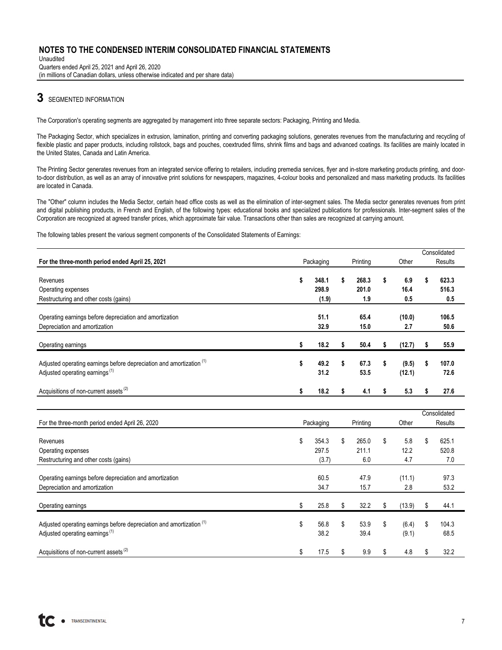Unaudited Quarters ended April 25, 2021 and April 26, 2020 (in millions of Canadian dollars, unless otherwise indicated and per share data)

# **3** SEGMENTED INFORMATION

The Corporation's operating segments are aggregated by management into three separate sectors: Packaging, Printing and Media.

The Packaging Sector, which specializes in extrusion, lamination, printing and converting packaging solutions, generates revenues from the manufacturing and recycling of flexible plastic and paper products, including rollstock, bags and pouches, coextruded films, shrink films and bags and advanced coatings. Its facilities are mainly located in the United States, Canada and Latin America.

The Printing Sector generates revenues from an integrated service offering to retailers, including premedia services, flyer and in-store marketing products printing, and doorto-door distribution, as well as an array of innovative print solutions for newspapers, magazines, 4-colour books and personalized and mass marketing products. Its facilities are located in Canada.

The "Other" column includes the Media Sector, certain head office costs as well as the elimination of inter-segment sales. The Media sector generates revenues from print and digital publishing products, in French and English, of the following types: educational books and specialized publications for professionals. Inter-segment sales of the Corporation are recognized at agreed transfer prices, which approximate fair value. Transactions other than sales are recognized at carrying amount.

The following tables present the various segment components of the Consolidated Statements of Earnings:

|                                                                                 |             |             |              | Consolidated   |
|---------------------------------------------------------------------------------|-------------|-------------|--------------|----------------|
| For the three-month period ended April 25, 2021                                 | Packaging   | Printing    | Other        | Results        |
|                                                                                 |             |             |              |                |
| Revenues                                                                        | \$<br>348.1 | \$<br>268.3 | \$<br>6.9    | \$<br>623.3    |
| Operating expenses                                                              | 298.9       | 201.0       | 16.4         | 516.3          |
| Restructuring and other costs (gains)                                           | (1.9)       | 1.9         | 0.5          | 0.5            |
|                                                                                 |             |             |              |                |
| Operating earnings before depreciation and amortization                         | 51.1        | 65.4        | (10.0)       | 106.5          |
| Depreciation and amortization                                                   | 32.9        | 15.0        | 2.7          | 50.6           |
|                                                                                 |             |             |              |                |
| Operating earnings                                                              | \$<br>18.2  | \$<br>50.4  | \$<br>(12.7) | \$<br>55.9     |
|                                                                                 |             |             |              |                |
| Adjusted operating earnings before depreciation and amortization <sup>(1)</sup> | \$<br>49.2  | \$<br>67.3  | \$<br>(9.5)  | \$<br>107.0    |
| Adjusted operating earnings <sup>(1)</sup>                                      | 31.2        | 53.5        | (12.1)       | 72.6           |
| Acquisitions of non-current assets <sup>(2)</sup>                               | 18.2        | 4.1         | \$<br>5.3    | 27.6           |
|                                                                                 | \$          | \$          |              | \$             |
|                                                                                 |             |             |              |                |
|                                                                                 |             |             |              | Consolidated   |
| For the three-month period ended April 26, 2020                                 | Packaging   | Printing    | Other        | <b>Results</b> |
| Revenues                                                                        | \$<br>354.3 | \$<br>265.0 | \$<br>5.8    | \$<br>625.1    |
|                                                                                 | 297.5       | 211.1       | 12.2         | 520.8          |
| Operating expenses                                                              |             |             | 4.7          |                |
| Restructuring and other costs (gains)                                           | (3.7)       | 6.0         |              | 7.0            |
| Operating earnings before depreciation and amortization                         | 60.5        | 47.9        | (11.1)       | 97.3           |
| Depreciation and amortization                                                   | 34.7        | 15.7        | 2.8          | 53.2           |
|                                                                                 |             |             |              |                |
| Operating earnings                                                              | \$<br>25.8  | \$<br>32.2  | \$<br>(13.9) | \$<br>44.1     |
|                                                                                 |             |             |              |                |
| Adjusted operating earnings before depreciation and amortization (1)            | \$<br>56.8  | \$<br>53.9  | \$<br>(6.4)  | \$<br>104.3    |
| Adjusted operating earnings <sup>(1)</sup>                                      | 38.2        | 39.4        | (9.1)        | 68.5           |
|                                                                                 |             |             |              |                |
| Acquisitions of non-current assets <sup>(2)</sup>                               | \$<br>17.5  | \$<br>9.9   | \$<br>4.8    | \$<br>32.2     |

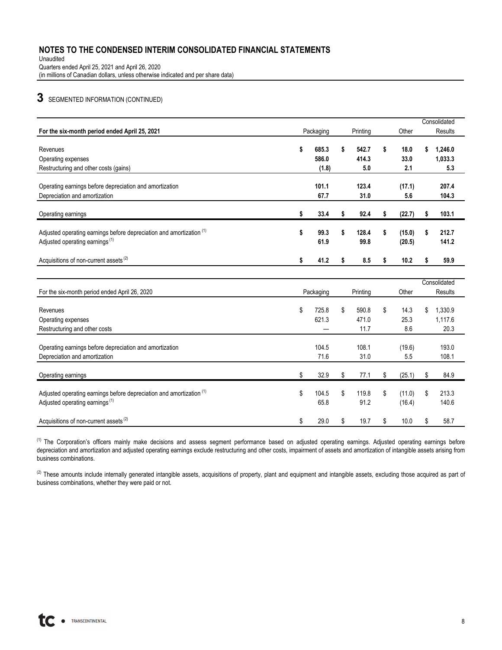Unaudited Quarters ended April 25, 2021 and April 26, 2020 (in millions of Canadian dollars, unless otherwise indicated and per share data)

# **3** SEGMENTED INFORMATION (CONTINUED)

| For the six-month period ended April 25, 2021                        |             |    |          |    |        |    | Consolidated   |  |
|----------------------------------------------------------------------|-------------|----|----------|----|--------|----|----------------|--|
|                                                                      | Packaging   |    | Printing |    | Other  |    | <b>Results</b> |  |
| Revenues                                                             | \$<br>685.3 | \$ | 542.7    | \$ | 18.0   | s  | 1,246.0        |  |
| Operating expenses                                                   | 586.0       |    | 414.3    |    | 33.0   |    | 1,033.3        |  |
| Restructuring and other costs (gains)                                | (1.8)       |    | 5.0      |    | 2.1    |    | 5.3            |  |
| Operating earnings before depreciation and amortization              | 101.1       |    | 123.4    |    | (17.1) |    | 207.4          |  |
| Depreciation and amortization                                        | 67.7        |    | 31.0     |    | 5.6    |    | 104.3          |  |
|                                                                      |             |    |          |    |        |    |                |  |
| Operating earnings                                                   | \$<br>33.4  | \$ | 92.4     | s  | (22.7) | \$ | 103.1          |  |
| Adjusted operating earnings before depreciation and amortization (1) | \$<br>99.3  | \$ | 128.4    | \$ | (15.0) | \$ | 212.7          |  |
| Adjusted operating earnings <sup>(1)</sup>                           | 61.9        |    | 99.8     |    | (20.5) |    | 141.2          |  |
|                                                                      |             |    |          |    |        |    |                |  |
| Acquisitions of non-current assets <sup>(2)</sup>                    | \$<br>41.2  | \$ | 8.5      | \$ | 10.2   | \$ | 59.9           |  |
|                                                                      |             |    |          |    |        |    |                |  |
|                                                                      |             |    |          |    |        |    | Consolidated   |  |
| For the six-month period ended April 26, 2020                        | Packaging   |    | Printing |    | Other  |    | Results        |  |
| Revenues                                                             | \$<br>725.8 | \$ | 590.8    | \$ | 14.3   | \$ | 1,330.9        |  |
| Operating expenses                                                   | 621.3       |    | 471.0    |    | 25.3   |    | 1,117.6        |  |
| Restructuring and other costs                                        |             |    | 11.7     |    | 8.6    |    | 20.3           |  |
|                                                                      |             |    |          |    |        |    |                |  |
| Operating earnings before depreciation and amortization              | 104.5       |    | 108.1    |    | (19.6) |    | 193.0          |  |
| Depreciation and amortization                                        | 71.6        |    | 31.0     |    | 5.5    |    | 108.1          |  |
| Operating earnings                                                   | \$<br>32.9  | \$ | 77.1     | \$ | (25.1) | \$ | 84.9           |  |
|                                                                      |             |    |          |    |        |    |                |  |
| Adjusted operating earnings before depreciation and amortization (1) | \$<br>104.5 | \$ | 119.8    | \$ | (11.0) | \$ | 213.3          |  |
| Adjusted operating earnings <sup>(1)</sup>                           | 65.8        |    | 91.2     |    | (16.4) |    | 140.6          |  |
|                                                                      |             |    |          |    |        |    |                |  |
| Acquisitions of non-current assets <sup>(2)</sup>                    | \$<br>29.0  | \$ | 19.7     | \$ | 10.0   | \$ | 58.7           |  |

<sup>(1)</sup> The Corporation's officers mainly make decisions and assess segment performance based on adjusted operating earnings. Adjusted operating earnings before depreciation and amortization and adjusted operating earnings exclude restructuring and other costs, impairment of assets and amortization of intangible assets arising from business combinations.

<sup>(2)</sup> These amounts include internally generated intangible assets, acquisitions of property, plant and equipment and intangible assets, excluding those acquired as part of business combinations, whether they were paid or not.

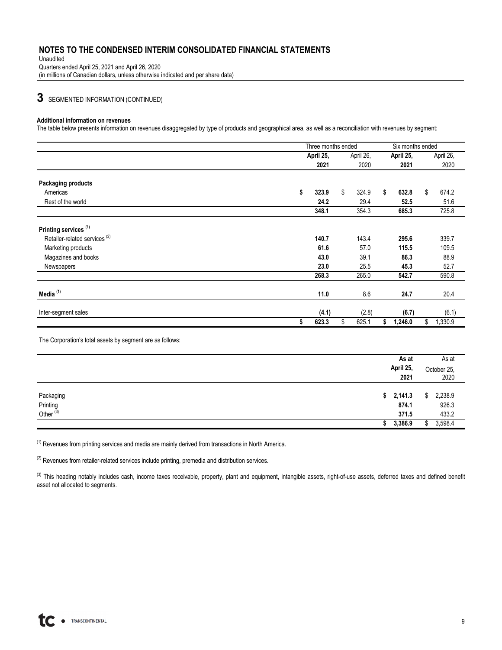Unaudited Quarters ended April 25, 2021 and April 26, 2020 (in millions of Canadian dollars, unless otherwise indicated and per share data)

**3** SEGMENTED INFORMATION (CONTINUED)

#### **Additional information on revenues**

The table below presents information on revenues disaggregated by type of products and geographical area, as well as a reconciliation with revenues by segment:

|                                          | Three months ended |             |    | Six months ended |               |
|------------------------------------------|--------------------|-------------|----|------------------|---------------|
|                                          | April 25,          | April 26,   |    | April 25,        | April 26,     |
|                                          | 2021               | 2020        |    | 2021             | 2020          |
| <b>Packaging products</b>                |                    |             |    |                  |               |
| Americas                                 | \$<br>323.9        | \$<br>324.9 | \$ | 632.8            | \$<br>674.2   |
| Rest of the world                        | 24.2               | 29.4        |    | 52.5             | 51.6          |
|                                          | 348.1              | 354.3       |    | 685.3            | 725.8         |
| Printing services <sup>(1)</sup>         |                    |             |    |                  |               |
| Retailer-related services <sup>(2)</sup> | 140.7              | 143.4       |    | 295.6            | 339.7         |
| Marketing products                       | 61.6               | 57.0        |    | 115.5            | 109.5         |
| Magazines and books                      | 43.0               | 39.1        |    | 86.3             | 88.9          |
| Newspapers                               | 23.0               | 25.5        |    | 45.3             | 52.7          |
|                                          | 268.3              | 265.0       |    | 542.7            | 590.8         |
| Media <sup>(1)</sup>                     | 11.0               | 8.6         |    | 24.7             | 20.4          |
|                                          |                    |             |    |                  |               |
| Inter-segment sales                      | (4.1)              | (2.8)       |    | (6.7)            | (6.1)         |
|                                          | 623.3<br>\$        | \$<br>625.1 | S. | 1,246.0          | \$<br>1,330.9 |

The Corporation's total assets by segment are as follows:

|                                               | As at<br>April 25,<br>2021  | As at<br>October 25,<br>2020    |
|-----------------------------------------------|-----------------------------|---------------------------------|
| Packaging<br>Printing<br>Other <sup>(3)</sup> | \$2,141.3<br>874.1<br>371.5 | 2,238.9<br>\$<br>926.3<br>433.2 |
|                                               | 3,386.9                     | 3,598.4                         |

(1) Revenues from printing services and media are mainly derived from transactions in North America.

 $(2)$  Revenues from retailer-related services include printing, premedia and distribution services.

(3) This heading notably includes cash, income taxes receivable, property, plant and equipment, intangible assets, right-of-use assets, deferred taxes and defined benefit asset not allocated to segments.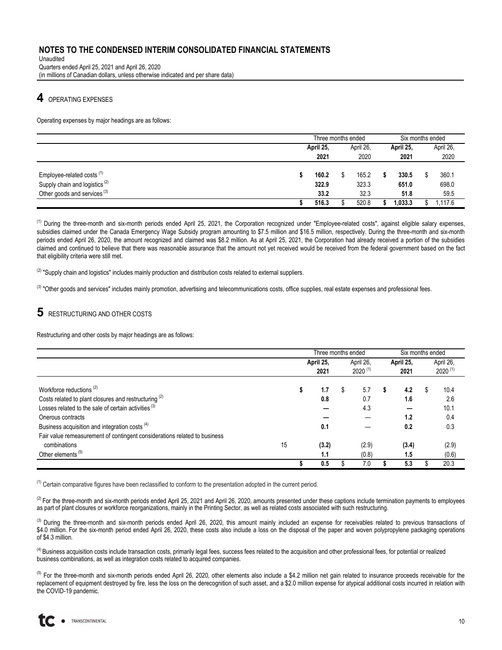Unaudited Quarters ended April 25, 2021 and April 26, 2020 (in millions of Canadian dollars, unless otherwise indicated and per share data)

# **4** OPERATING EXPENSES

Operating expenses by major headings are as follows:

|                                           | Three months ended |  |           |  | Six months ended |      |           |  |           |
|-------------------------------------------|--------------------|--|-----------|--|------------------|------|-----------|--|-----------|
|                                           | April 25,          |  | April 26, |  |                  |      | April 25, |  | April 26, |
|                                           | 2021               |  | 2020      |  | 2021             | 2020 |           |  |           |
|                                           |                    |  |           |  |                  |      |           |  |           |
| Employee-related costs <sup>(1)</sup>     | 160.2              |  | 165.2     |  | 330.5            |      | 360.1     |  |           |
| Supply chain and logistics <sup>(2)</sup> | 322.9              |  | 323.3     |  | 651.0            |      | 698.0     |  |           |
| Other goods and services <sup>(3)</sup>   | 33.2               |  | 32.3      |  | 51.8             |      | 59.5      |  |           |
|                                           | 516.3              |  | 520.8     |  | 1,033.3          |      | 1.117.6   |  |           |

 $<sup>(1)</sup>$  During the three-month and six-month periods ended April 25, 2021, the Corporation recognized under "Employee-related costs", against eligible salary expenses,</sup> subsidies claimed under the Canada Emergency Wage Subsidy program amounting to \$7.5 million and \$16.5 million, respectively. During the three-month and six-month periods ended April 26, 2020, the amount recognized and claimed was \$8.2 million. As at April 25, 2021, the Corporation had already received a portion of the subsidies claimed and continued to believe that there was reasonable assurance that the amount not yet received would be received from the federal government based on the fact that eligibility criteria were still met.

 $(2)$  "Supply chain and logistics" includes mainly production and distribution costs related to external suppliers.

<sup>(3)</sup> "Other goods and services" includes mainly promotion, advertising and telecommunications costs, office supplies, real estate expenses and professional fees.

# **5** RESTRUCTURING AND OTHER COSTS

Restructuring and other costs by major headings are as follows:

|                                                                           |    | Three months ended |   |              |   | Six months ended |    |              |  |  |
|---------------------------------------------------------------------------|----|--------------------|---|--------------|---|------------------|----|--------------|--|--|
|                                                                           |    | April 25,          |   | April 26,    |   | April 25,        |    | April 26,    |  |  |
|                                                                           |    | 2021               |   | $2020^{(1)}$ |   | 2021             |    | $2020^{(1)}$ |  |  |
| Workforce reductions <sup>(2)</sup>                                       |    | 1.7                | S | 5.7          | S | 4.2              | S. | 10.4         |  |  |
| Costs related to plant closures and restructuring <sup>(2)</sup>          |    | 0.8                |   | 0.7          |   | 1.6              |    | 2.6          |  |  |
| Losses related to the sale of certain activities <sup>(3)</sup>           |    |                    |   | 4.3          |   |                  |    | 10.1         |  |  |
| Onerous contracts                                                         |    |                    |   |              |   | 1.2              |    | 0.4          |  |  |
| Business acquisition and integration costs <sup>(4)</sup>                 |    | 0.1                |   |              |   | 0.2              |    | 0.3          |  |  |
| Fair value remeasurement of contingent considerations related to business |    |                    |   |              |   |                  |    |              |  |  |
| combinations                                                              | 15 | (3.2)              |   | (2.9)        |   | (3.4)            |    | (2.9)        |  |  |
| Other elements <sup>(5)</sup>                                             |    | 1.1                |   | (0.8)        |   | 1.5              |    | (0.6)        |  |  |
|                                                                           |    | 0.5                |   | 7.0          |   | 5.3              |    | 20.3         |  |  |

 $<sup>(1)</sup>$  Certain comparative figures have been reclassified to conform to the presentation adopted in the current period.</sup>

 $^{(2)}$  For the three-month and six-month periods ended April 25, 2021 and April 26, 2020, amounts presented under these captions include termination payments to employees as part of plant closures or workforce reorganizations, mainly in the Printing Sector, as well as related costs associated with such restructuring.

<sup>(3)</sup> During the three-month and six-month periods ended April 26, 2020, this amount mainly included an expense for receivables related to previous transactions of \$4.0 million. For the six-month period ended April 26, 2020, these costs also include a loss on the disposal of the paper and woven polypropylene packaging operations of \$4.3 million.

<sup>(4)</sup> Business acquisition costs include transaction costs, primarily legal fees, success fees related to the acquisition and other professional fees, for potential or realized business combinations, as well as integration costs related to acquired companies.

<sup>(5)</sup> For the three-month and six-month periods ended April 26, 2020, other elements also include a \$4.2 million net gain related to insurance proceeds receivable for the replacement of equipment destroyed by fire, less the loss on the derecognition of such asset, and a \$2.0 million expense for atypical additional costs incurred in relation with the COVID-19 pandemic.

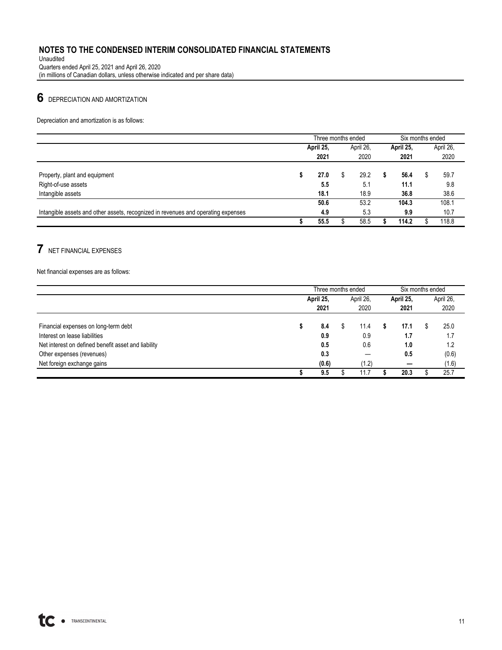Unaudited Quarters ended April 25, 2021 and April 26, 2020 (in millions of Canadian dollars, unless otherwise indicated and per share data)

# **6** DEPRECIATION AND AMORTIZATION

Depreciation and amortization is as follows:

|                                                                                   |   | Three months ended |   |           | Six months ended |   |           |
|-----------------------------------------------------------------------------------|---|--------------------|---|-----------|------------------|---|-----------|
|                                                                                   |   | April 25,          |   | April 26, | April 25,        |   | April 26, |
|                                                                                   |   | 2021               |   | 2020      | 2021             |   | 2020      |
| Property, plant and equipment                                                     | æ | 27.0               | S | 29.2      | 56.4             | Œ | 59.7      |
| Right-of-use assets                                                               |   | 5.5                |   | 5.1       | 11.1             |   | 9.8       |
| Intangible assets                                                                 |   | 18.1               |   | 18.9      | 36.8             |   | 38.6      |
|                                                                                   |   | 50.6               |   | 53.2      | 104.3            |   | 108.1     |
| Intangible assets and other assets, recognized in revenues and operating expenses |   | 4.9                |   | 5.3       | 9.9              |   | 10.7      |
|                                                                                   |   | 55.5               |   | 58.5      | 114.2            |   | 118.8     |

# **7** NET FINANCIAL EXPENSES

Net financial expenses are as follows:

|                                                     | Three months ended |           |  |           |  | Six months ended |   |           |  |  |
|-----------------------------------------------------|--------------------|-----------|--|-----------|--|------------------|---|-----------|--|--|
|                                                     |                    | April 25, |  | April 26, |  | April 25,        |   | April 26, |  |  |
|                                                     |                    | 2021      |  | 2020      |  | 2021             |   | 2020      |  |  |
|                                                     |                    |           |  |           |  |                  |   |           |  |  |
| Financial expenses on long-term debt                |                    | 8.4       |  | 11.4      |  | 17.1             | S | 25.0      |  |  |
| Interest on lease liabilities                       |                    | 0.9       |  | 0.9       |  | 1.7              |   | 1.7       |  |  |
| Net interest on defined benefit asset and liability |                    | 0.5       |  | 0.6       |  | 1.0              |   | 1.2       |  |  |
| Other expenses (revenues)                           |                    | 0.3       |  |           |  | 0.5              |   | (0.6)     |  |  |
| Net foreign exchange gains                          |                    | (0.6)     |  | (1.2)     |  |                  |   | (1.6)     |  |  |
|                                                     |                    | 9.5       |  | 11.7      |  | 20.3             |   | 25.7      |  |  |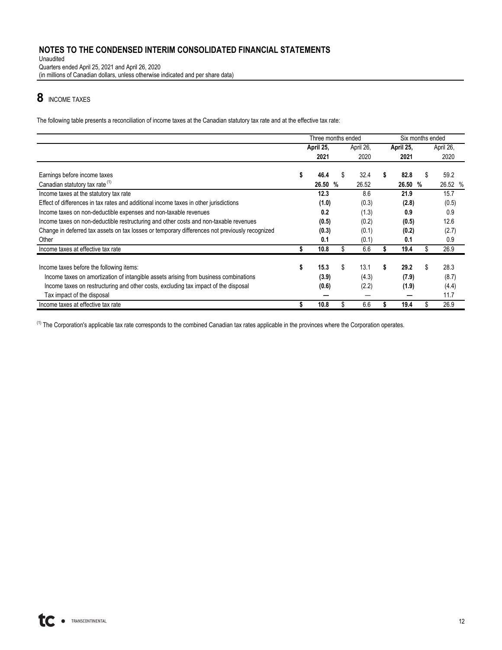Unaudited Quarters ended April 25, 2021 and April 26, 2020 (in millions of Canadian dollars, unless otherwise indicated and per share data)

# **8** INCOME TAXES

The following table presents a reconciliation of income taxes at the Canadian statutory tax rate and at the effective tax rate:

|                                                                                                | Three months ended |    |           |    |           | Six months ended |           |
|------------------------------------------------------------------------------------------------|--------------------|----|-----------|----|-----------|------------------|-----------|
|                                                                                                | April 25.          |    | April 26, |    | April 25, |                  | April 26, |
|                                                                                                | 2021               |    | 2020      |    | 2021      |                  | 2020      |
| Earnings before income taxes                                                                   | 46.4               | s  | 32.4      | S  | 82.8      | S                | 59.2      |
| Canadian statutory tax rate (1)                                                                | 26.50              | %  | 26.52     |    | 26.50     | %                | 26.52 %   |
| Income taxes at the statutory tax rate                                                         | 12.3               |    | 8.6       |    | 21.9      |                  | 15.7      |
| Effect of differences in tax rates and additional income taxes in other jurisdictions          | (1.0)              |    | (0.3)     |    | (2.8)     |                  | (0.5)     |
| Income taxes on non-deductible expenses and non-taxable revenues                               | 0.2                |    | (1.3)     |    | 0.9       |                  | 0.9       |
| Income taxes on non-deductible restructuring and other costs and non-taxable revenues          | (0.5)              |    | (0.2)     |    | (0.5)     |                  | 12.6      |
| Change in deferred tax assets on tax losses or temporary differences not previously recognized | (0.3)              |    | (0.1)     |    | (0.2)     |                  | (2.7)     |
| Other                                                                                          | 0.1                |    | (0.1)     |    | 0.1       |                  | 0.9       |
| Income taxes at effective tax rate                                                             | 10.8               |    | 6.6       |    | 19.4      |                  | 26.9      |
| Income taxes before the following items:                                                       | 15.3               | \$ | 13.1      | \$ | 29.2      | \$               | 28.3      |
| Income taxes on amortization of intangible assets arising from business combinations           | (3.9)              |    | (4.3)     |    | (7.9)     |                  | (8.7)     |
| Income taxes on restructuring and other costs, excluding tax impact of the disposal            | (0.6)              |    | (2.2)     |    | (1.9)     |                  | (4.4)     |
| Tax impact of the disposal                                                                     |                    |    |           |    |           |                  | 11.7      |
| Income taxes at effective tax rate                                                             | 10.8               |    | 6.6       |    | 19.4      |                  | 26.9      |

<sup>(1)</sup> The Corporation's applicable tax rate corresponds to the combined Canadian tax rates applicable in the provinces where the Corporation operates.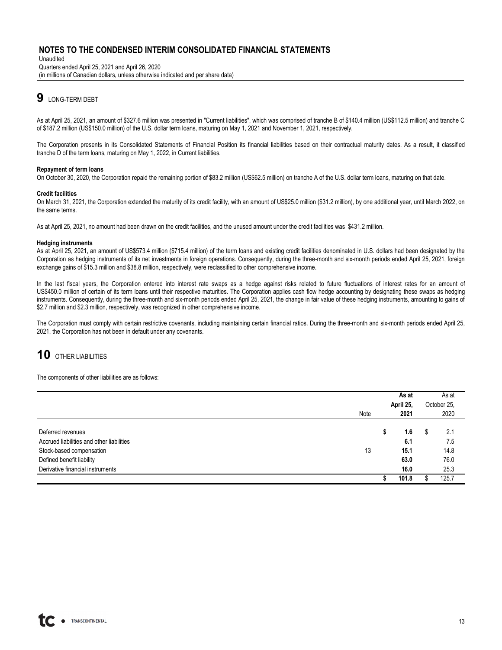Unaudited Quarters ended April 25, 2021 and April 26, 2020 (in millions of Canadian dollars, unless otherwise indicated and per share data)

# **9** LONG-TERM DEBT

As at April 25, 2021, an amount of \$327.6 million was presented in "Current liabilities", which was comprised of tranche B of \$140.4 million (US\$112.5 million) and tranche C of \$187.2 million (US\$150.0 million) of the U.S. dollar term loans, maturing on May 1, 2021 and November 1, 2021, respectively.

The Corporation presents in its Consolidated Statements of Financial Position its financial liabilities based on their contractual maturity dates. As a result, it classified tranche D of the term loans, maturing on May 1, 2022, in Current liabilities.

#### **Repayment of term loans**

On October 30, 2020, the Corporation repaid the remaining portion of \$83.2 million (US\$62.5 million) on tranche A of the U.S. dollar term loans, maturing on that date.

#### **Credit facilities**

On March 31, 2021, the Corporation extended the maturity of its credit facility, with an amount of US\$25.0 million (\$31.2 million), by one additional year, until March 2022, on the same terms.

As at April 25, 2021, no amount had been drawn on the credit facilities, and the unused amount under the credit facilities was \$431.2 million.

#### **Hedging instruments**

As at April 25, 2021, an amount of US\$573.4 million (\$715.4 million) of the term loans and existing credit facilities denominated in U.S. dollars had been designated by the Corporation as hedging instruments of its net investments in foreign operations. Consequently, during the three-month and six-month periods ended April 25, 2021, foreign exchange gains of \$15.3 million and \$38.8 million, respectively, were reclassified to other comprehensive income.

In the last fiscal years, the Corporation entered into interest rate swaps as a hedge against risks related to future fluctuations of interest rates for an amount of US\$450.0 million of certain of its term loans until their respective maturities. The Corporation applies cash flow hedge accounting by designating these swaps as hedging instruments. Consequently, during the three-month and six-month periods ended April 25, 2021, the change in fair value of these hedging instruments, amounting to gains of \$2.7 million and \$2.3 million, respectively, was recognized in other comprehensive income.

The Corporation must comply with certain restrictive covenants, including maintaining certain financial ratios. During the three-month and six-month periods ended April 25, 2021, the Corporation has not been in default under any covenants.

# **10** OTHER LIABILITIES

The components of other liabilities are as follows:

|                                                                                                                                                             | Note | As at<br>April 25,<br>2021 |                                    |   | As at<br>October 25,<br>2020       |
|-------------------------------------------------------------------------------------------------------------------------------------------------------------|------|----------------------------|------------------------------------|---|------------------------------------|
| Deferred revenues<br>Accrued liabilities and other liabilities<br>Stock-based compensation<br>Defined benefit liability<br>Derivative financial instruments | 13   | S                          | 1.6<br>6.1<br>15.1<br>63.0<br>16.0 | S | 2.1<br>7.5<br>14.8<br>76.0<br>25.3 |
|                                                                                                                                                             |      |                            | 101.8                              |   | 125.7                              |

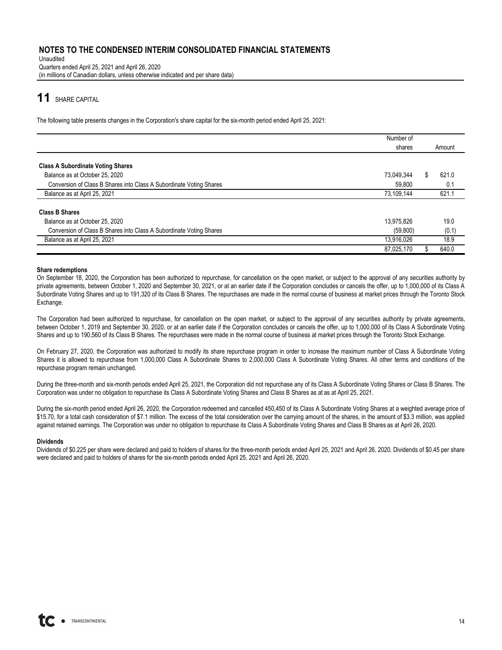Unaudited Quarters ended April 25, 2021 and April 26, 2020 (in millions of Canadian dollars, unless otherwise indicated and per share data)

# **11** SHARE CAPITAL

The following table presents changes in the Corporation's share capital for the six-month period ended April 25, 2021:

|                                                                     | Number of  |        |
|---------------------------------------------------------------------|------------|--------|
|                                                                     | shares     | Amount |
|                                                                     |            |        |
| <b>Class A Subordinate Voting Shares</b>                            |            |        |
| Balance as at October 25, 2020                                      | 73.049.344 | 621.0  |
| Conversion of Class B Shares into Class A Subordinate Voting Shares | 59.800     | 0.1    |
| Balance as at April 25, 2021                                        | 73,109,144 | 621.1  |
| <b>Class B Shares</b>                                               |            |        |
| Balance as at October 25, 2020                                      | 13.975.826 | 19.0   |
| Conversion of Class B Shares into Class A Subordinate Voting Shares | (59, 800)  | (0.1)  |
| Balance as at April 25, 2021                                        | 13,916,026 | 18.9   |
|                                                                     | 87,025,170 | 640.0  |

#### **Share redemptions**

On September 18, 2020, the Corporation has been authorized to repurchase, for cancellation on the open market, or subject to the approval of any securities authority by private agreements, between October 1, 2020 and September 30, 2021, or at an earlier date if the Corporation concludes or cancels the offer, up to 1,000,000 of its Class A Subordinate Voting Shares and up to 191,320 of its Class B Shares. The repurchases are made in the normal course of business at market prices through the Toronto Stock Exchange.

The Corporation had been authorized to repurchase, for cancellation on the open market, or subject to the approval of any securities authority by private agreements, between October 1, 2019 and September 30, 2020, or at an earlier date if the Corporation concludes or cancels the offer, up to 1,000,000 of its Class A Subordinate Voting Shares and up to 190,560 of its Class B Shares. The repurchases were made in the normal course of business at market prices through the Toronto Stock Exchange.

On February 27, 2020, the Corporation was authorized to modify its share repurchase program in order to increase the maximum number of Class A Subordinate Voting Shares it is allowed to repurchase from 1,000,000 Class A Subordinate Shares to 2,000,000 Class A Subordinate Voting Shares. All other terms and conditions of the repurchase program remain unchanged.

During the three-month and six-month periods ended April 25, 2021, the Corporation did not repurchase any of its Class A Subordinate Voting Shares or Class B Shares. The Corporation was under no obligation to repurchase its Class A Subordinate Voting Shares and Class B Shares as at as at April 25, 2021.

During the six-month period ended April 26, 2020, the Corporation redeemed and cancelled 450,450 of its Class A Subordinate Voting Shares at a weighted average price of \$15.70, for a total cash consideration of \$7.1 million. The excess of the total consideration over the carrying amount of the shares, in the amount of \$3.3 million, was applied against retained earnings. The Corporation was under no obligation to repurchase its Class A Subordinate Voting Shares and Class B Shares as at April 26, 2020.

#### **Dividends**

Dividends of \$0.225 per share were declared and paid to holders of shares for the three-month periods ended April 25, 2021 and April 26, 2020. Dividends of \$0.45 per share were declared and paid to holders of shares for the six-month periods ended April 25, 2021 and April 26, 2020.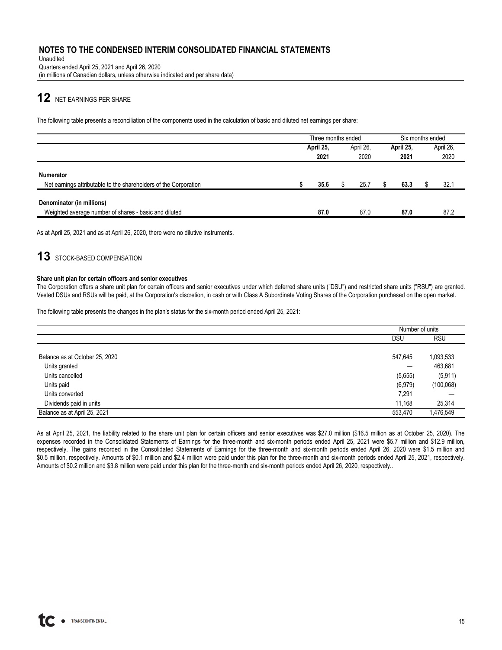Unaudited Quarters ended April 25, 2021 and April 26, 2020 (in millions of Canadian dollars, unless otherwise indicated and per share data)

# **12** NET EARNINGS PER SHARE

The following table presents a reconciliation of the components used in the calculation of basic and diluted net earnings per share:

|                                                                                      | Three months ended             |  |      |           | Six months ended |  |           |  |
|--------------------------------------------------------------------------------------|--------------------------------|--|------|-----------|------------------|--|-----------|--|
|                                                                                      | April 25,<br>April 26,<br>2020 |  |      | April 25, |                  |  | April 26, |  |
|                                                                                      | 2021                           |  |      |           | 2021             |  | 2020      |  |
| <b>Numerator</b><br>Net earnings attributable to the shareholders of the Corporation | 35.6                           |  | 25.7 |           | 63.3             |  | 32.1      |  |
| Denominator (in millions)<br>Weighted average number of shares - basic and diluted   | 87.0                           |  | 87.0 |           | 87.0             |  | 87.2      |  |

As at April 25, 2021 and as at April 26, 2020, there were no dilutive instruments.

# 13 STOCK-BASED COMPENSATION

#### **Share unit plan for certain officers and senior executives**

The Corporation offers a share unit plan for certain officers and senior executives under which deferred share units ("DSU") and restricted share units ("RSU") are granted. Vested DSUs and RSUs will be paid, at the Corporation's discretion, in cash or with Class A Subordinate Voting Shares of the Corporation purchased on the open market.

The following table presents the changes in the plan's status for the six-month period ended April 25, 2021:

|                                | Number of units |            |
|--------------------------------|-----------------|------------|
|                                | DSU             | <b>RSU</b> |
|                                |                 |            |
| Balance as at October 25, 2020 | 547,645         | 1,093,533  |
| Units granted                  |                 | 463,681    |
| Units cancelled                | (5,655)         | (5,911)    |
| Units paid                     | (6, 979)        | (100, 068) |
| Units converted                | 7,291           |            |
| Dividends paid in units        | 11.168          | 25,314     |
| Balance as at April 25, 2021   | 553,470         | 1,476,549  |

As at April 25, 2021, the liability related to the share unit plan for certain officers and senior executives was \$27.0 million (\$16.5 million as at October 25, 2020). The expenses recorded in the Consolidated Statements of Earnings for the three-month and six-month periods ended April 25, 2021 were \$5.7 million and \$12.9 million, respectively. The gains recorded in the Consolidated Statements of Earnings for the three-month and six-month periods ended April 26, 2020 were \$1.5 million and \$0.5 million, respectively. Amounts of \$0.1 million and \$2.4 million were paid under this plan for the three-month and six-month periods ended April 25, 2021, respectively. Amounts of \$0.2 million and \$3.8 million were paid under this plan for the three-month and six-month periods ended April 26, 2020, respectively..

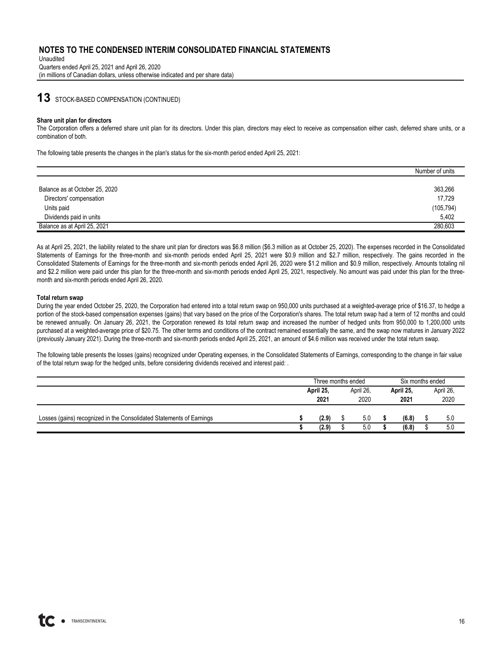Unaudited Quarters ended April 25, 2021 and April 26, 2020 (in millions of Canadian dollars, unless otherwise indicated and per share data)

# **13** STOCK-BASED COMPENSATION (CONTINUED)

#### **Share unit plan for directors**

The Corporation offers a deferred share unit plan for its directors. Under this plan, directors may elect to receive as compensation either cash, deferred share units, or a combination of both.

The following table presents the changes in the plan's status for the six-month period ended April 25, 2021:

|                                | Number of units |
|--------------------------------|-----------------|
|                                |                 |
| Balance as at October 25, 2020 | 363,266         |
| Directors' compensation        | 17.729          |
| Units paid                     | (105, 794)      |
| Dividends paid in units        | 5.402           |
| Balance as at April 25, 2021   | 280.603         |

As at April 25, 2021, the liability related to the share unit plan for directors was \$6.8 million (\$6.3 million as at October 25, 2020). The expenses recorded in the Consolidated Statements of Earnings for the three-month and six-month periods ended April 25, 2021 were \$0.9 million and \$2.7 million, respectively. The gains recorded in the Consolidated Statements of Earnings for the three-month and six-month periods ended April 26, 2020 were \$1.2 million and \$0.9 million, respectively. Amounts totaling nil and \$2.2 million were paid under this plan for the three-month and six-month periods ended April 25, 2021, respectively. No amount was paid under this plan for the threemonth and six-month periods ended April 26, 2020.

#### **Total return swap**

During the year ended October 25, 2020, the Corporation had entered into a total return swap on 950,000 units purchased at a weighted-average price of \$16.37, to hedge a portion of the stock-based compensation expenses (gains) that vary based on the price of the Corporation's shares. The total return swap had a term of 12 months and could be renewed annually. On January 26, 2021, the Corporation renewed its total return swap and increased the number of hedged units from 950,000 to 1,200,000 units purchased at a weighted-average price of \$20.75. The other terms and conditions of the contract remained essentially the same, and the swap now matures in January 2022 (previously January 2021). During the three-month and six-month periods ended April 25, 2021, an amount of \$4.6 million was received under the total return swap.

The following table presents the losses (gains) recognized under Operating expenses, in the Consolidated Statements of Earnings, corresponding to the change in fair value of the total return swap for the hedged units, before considering dividends received and interest paid: .

|                                                                      |  | Three months ended |  |           |  |           | Six months ended |      |           |  |
|----------------------------------------------------------------------|--|--------------------|--|-----------|--|-----------|------------------|------|-----------|--|
|                                                                      |  | April 25,<br>2021  |  | April 26, |  | April 25, |                  |      | April 26, |  |
|                                                                      |  |                    |  | 2020      |  | 2021      |                  | 2020 |           |  |
|                                                                      |  |                    |  |           |  |           |                  |      |           |  |
| Losses (gains) recognized in the Consolidated Statements of Earnings |  | (2.9)              |  | 5.0       |  | (6.8)     |                  | 5.0  |           |  |
|                                                                      |  | (2.9)              |  | 5.0       |  | (6.8)     |                  | 5.0  |           |  |

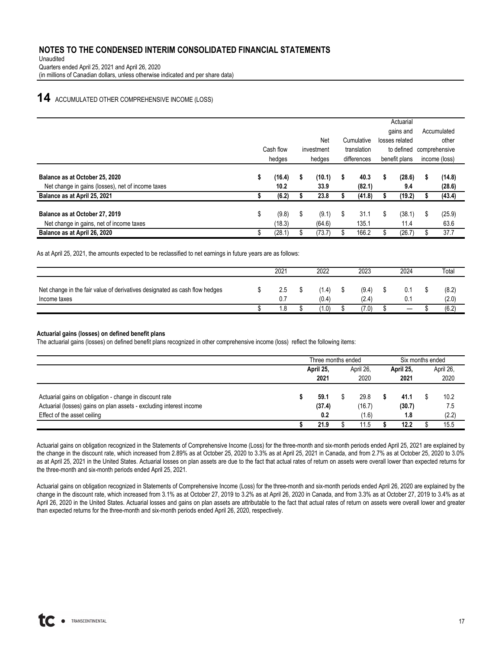Unaudited Quarters ended April 25, 2021 and April 26, 2020 (in millions of Canadian dollars, unless otherwise indicated and per share data)

# **14** ACCUMULATED OTHER COMPREHENSIVE INCOME (LOSS)

|                                                                                                                     |    |                         |                             |                        |    |                          | Accumulated                              |                         |                                                            |  |                                         |  |
|---------------------------------------------------------------------------------------------------------------------|----|-------------------------|-----------------------------|------------------------|----|--------------------------|------------------------------------------|-------------------------|------------------------------------------------------------|--|-----------------------------------------|--|
|                                                                                                                     |    | Cash flow<br>hedges     | Net<br>investment<br>hedges |                        |    |                          | Cumulative<br>translation<br>differences |                         | gains and<br>losses related<br>to defined<br>benefit plans |  | other<br>comprehensive<br>income (loss) |  |
| Balance as at October 25, 2020<br>Net change in gains (losses), net of income taxes<br>Balance as at April 25, 2021 | s  | (16.4)<br>10.2<br>(6.2) | s                           | (10.1)<br>33.9<br>23.8 | S  | 40.3<br>(82.1)<br>(41.8) | S                                        | (28.6)<br>9.4<br>(19.2) | \$<br>(14.8)<br>(28.6)<br>(43.4)                           |  |                                         |  |
| Balance as at October 27, 2019<br>Net change in gains, net of income taxes                                          | \$ | (9.8)<br>(18.3)         | \$                          | (9.1)<br>(64.6)        | \$ | 31.1<br>135.1            | S                                        | (38.1)<br>11.4          | \$<br>(25.9)<br>63.6                                       |  |                                         |  |
| Balance as at April 26, 2020                                                                                        |    | (28.1)                  | \$                          | (73.7)                 |    | 166.2                    |                                          | (26.7)                  | \$<br>37.7                                                 |  |                                         |  |

As at April 25, 2021, the amounts expected to be reclassified to net earnings in future years are as follows:

|                                                                                            | 2021       | 2022           | 2023           | 2024 | Total          |
|--------------------------------------------------------------------------------------------|------------|----------------|----------------|------|----------------|
| Net change in the fair value of derivatives designated as cash flow hedges<br>Income taxes | 2.5<br>0.7 | (1.4)<br>(0.4) | (9.4)<br>(2.4) |      | (8.2)<br>(2.0) |
|                                                                                            | . 8        | (1.0)          | (7.0)          |      | (6.2)          |

#### **Actuarial gains (losses) on defined benefit plans**

The actuarial gains (losses) on defined benefit plans recognized in other comprehensive income (loss) reflect the following items:

|                                                                     | Three months ended |                        |      |        |                   | Six months ended |  |           |  |
|---------------------------------------------------------------------|--------------------|------------------------|------|--------|-------------------|------------------|--|-----------|--|
|                                                                     |                    | April 26,<br>April 25, |      |        | April 25,<br>2021 |                  |  | April 26, |  |
|                                                                     |                    | 2021                   | 2020 |        |                   |                  |  | 2020      |  |
|                                                                     |                    |                        |      |        |                   |                  |  |           |  |
| Actuarial gains on obligation - change in discount rate             |                    | 59.1                   |      | 29.8   |                   | 41.1             |  | 10.2      |  |
| Actuarial (losses) gains on plan assets - excluding interest income |                    | (37.4)                 |      | (16.7) |                   | (30.7)           |  | 7.5       |  |
| Effect of the asset ceiling                                         |                    | 0.2                    |      | (1.6)  |                   | 1.8              |  | (2.2)     |  |
|                                                                     |                    | 21.9                   |      | 11.5   |                   | 12.2             |  | 15.5      |  |

Actuarial gains on obligation recognized in the Statements of Comprehensive Income (Loss) for the three-month and six-month periods ended April 25, 2021 are explained by the change in the discount rate, which increased from 2.89% as at October 25, 2020 to 3.3% as at April 25, 2021 in Canada, and from 2.7% as at October 25, 2020 to 3.0% as at April 25, 2021 in the United States. Actuarial losses on plan assets are due to the fact that actual rates of return on assets were overall lower than expected returns for the three-month and six-month periods ended April 25, 2021.

Actuarial gains on obligation recognized in Statements of Comprehensive Income (Loss) for the three-month and six-month periods ended April 26, 2020 are explained by the change in the discount rate, which increased from 3.1% as at October 27, 2019 to 3.2% as at April 26, 2020 in Canada, and from 3.3% as at October 27, 2019 to 3.4% as at April 26, 2020 in the United States. Actuarial losses and gains on plan assets are attributable to the fact that actual rates of return on assets were overall lower and greater than expected returns for the three-month and six-month periods ended April 26, 2020, respectively.

17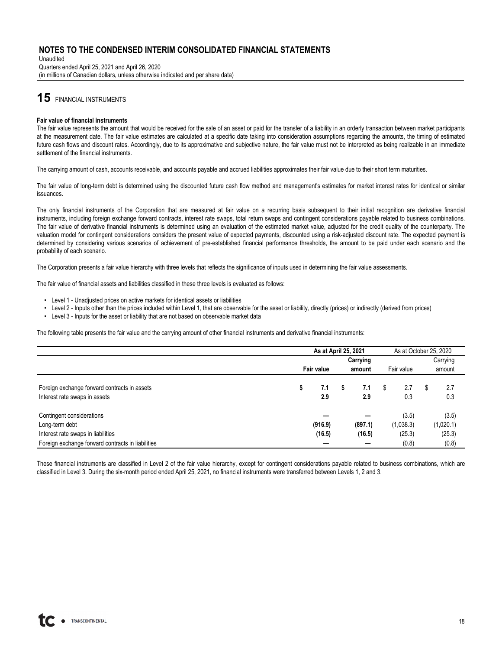Unaudited Quarters ended April 25, 2021 and April 26, 2020 (in millions of Canadian dollars, unless otherwise indicated and per share data)

# **15** FINANCIAL INSTRUMENTS

#### **Fair value of financial instruments**

The fair value represents the amount that would be received for the sale of an asset or paid for the transfer of a liability in an orderly transaction between market participants at the measurement date. The fair value estimates are calculated at a specific date taking into consideration assumptions regarding the amounts, the timing of estimated future cash flows and discount rates. Accordingly, due to its approximative and subjective nature, the fair value must not be interpreted as being realizable in an immediate settlement of the financial instruments.

The carrying amount of cash, accounts receivable, and accounts payable and accrued liabilities approximates their fair value due to their short term maturities.

The fair value of long-term debt is determined using the discounted future cash flow method and management's estimates for market interest rates for identical or similar issuances.

The only financial instruments of the Corporation that are measured at fair value on a recurring basis subsequent to their initial recognition are derivative financial instruments, including foreign exchange forward contracts, interest rate swaps, total return swaps and contingent considerations payable related to business combinations. The fair value of derivative financial instruments is determined using an evaluation of the estimated market value, adjusted for the credit quality of the counterparty. The valuation model for contingent considerations considers the present value of expected payments, discounted using a risk-adjusted discount rate. The expected payment is determined by considering various scenarios of achievement of pre-established financial performance thresholds, the amount to be paid under each scenario and the probability of each scenario.

The Corporation presents a fair value hierarchy with three levels that reflects the significance of inputs used in determining the fair value assessments.

The fair value of financial assets and liabilities classified in these three levels is evaluated as follows:

- Level 1 Unadjusted prices on active markets for identical assets or liabilities
- Level 2 Inputs other than the prices included within Level 1, that are observable for the asset or liability, directly (prices) or indirectly (derived from prices)
- Level 3 Inputs for the asset or liability that are not based on observable market data

The following table presents the fair value and the carrying amount of other financial instruments and derivative financial instruments:

|                                                                               |   | As at April 25, 2021 |   |                      |   | As at October 25, 2020 |   |            |
|-------------------------------------------------------------------------------|---|----------------------|---|----------------------|---|------------------------|---|------------|
|                                                                               |   |                      |   | Carrying             |   |                        |   | Carrying   |
|                                                                               |   | Fair value           |   | Fair value<br>amount |   |                        |   | amount     |
| Foreign exchange forward contracts in assets<br>Interest rate swaps in assets | S | 7.1<br>2.9           | s | 7.1<br>2.9           | S | 2.7<br>0.3             | S | 2.7<br>0.3 |
| Contingent considerations                                                     |   |                      |   |                      |   | (3.5)                  |   | (3.5)      |
| Long-term debt                                                                |   | (916.9)              |   | (897.1)              |   | (1,038.3)              |   | (1,020.1)  |
| Interest rate swaps in liabilities                                            |   | (16.5)               |   | (16.5)               |   | (25.3)                 |   | (25.3)     |
| Foreign exchange forward contracts in liabilities                             |   |                      |   |                      |   | (0.8)                  |   | (0.8)      |

These financial instruments are classified in Level 2 of the fair value hierarchy, except for contingent considerations payable related to business combinations, which are classified in Level 3. During the six-month period ended April 25, 2021, no financial instruments were transferred between Levels 1, 2 and 3.